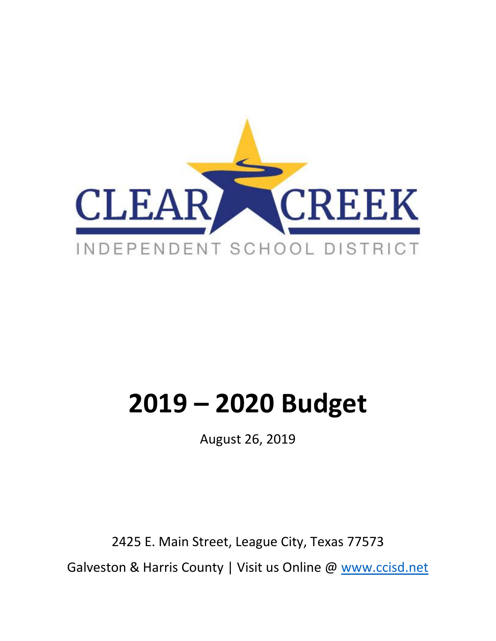

# **2019 – 2020 Budget**

August 26, 2019

2425 E. Main Street, League City, Texas 77573 Galveston & Harris County | Visit us Online @ [www.ccisd.net](http://www.ccisd.net/)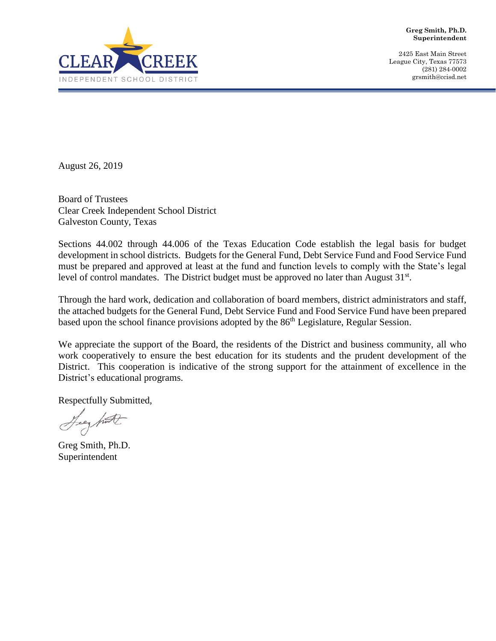

**Greg Smith, Ph.D. Superintendent**

2425 East Main Street League City, Texas 77573 (281) 284-0002 grsmith@ccisd.net

August 26, 2019

Board of Trustees Clear Creek Independent School District Galveston County, Texas

Sections 44.002 through 44.006 of the Texas Education Code establish the legal basis for budget development in school districts. Budgets for the General Fund, Debt Service Fund and Food Service Fund must be prepared and approved at least at the fund and function levels to comply with the State's legal level of control mandates. The District budget must be approved no later than August  $31<sup>st</sup>$ .

Through the hard work, dedication and collaboration of board members, district administrators and staff, the attached budgets for the General Fund, Debt Service Fund and Food Service Fund have been prepared based upon the school finance provisions adopted by the 86<sup>th</sup> Legislature, Regular Session.

We appreciate the support of the Board, the residents of the District and business community, all who work cooperatively to ensure the best education for its students and the prudent development of the District. This cooperation is indicative of the strong support for the attainment of excellence in the District's educational programs.

Respectfully Submitted,

Leg hut

Greg Smith, Ph.D. Superintendent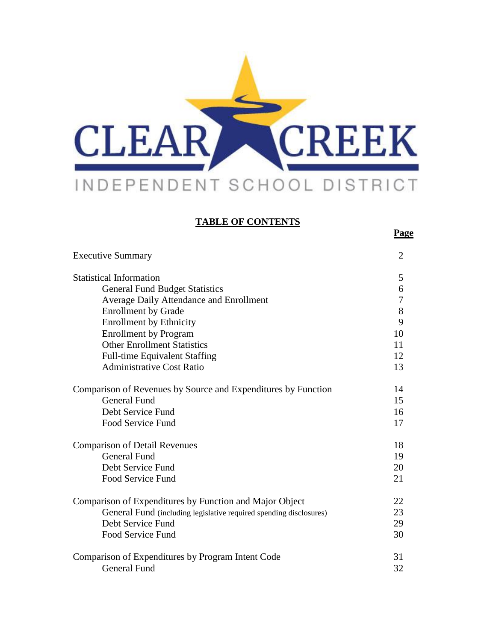

#### **TABLE OF CONTENTS**

**Page**

| <b>Executive Summary</b>                                           | $\overline{2}$ |
|--------------------------------------------------------------------|----------------|
| <b>Statistical Information</b>                                     | 5              |
| <b>General Fund Budget Statistics</b>                              | 6              |
| <b>Average Daily Attendance and Enrollment</b>                     | 7              |
| <b>Enrollment by Grade</b>                                         | $8\,$          |
| <b>Enrollment by Ethnicity</b>                                     | 9              |
| <b>Enrollment by Program</b>                                       | 10             |
| <b>Other Enrollment Statistics</b>                                 | 11             |
| <b>Full-time Equivalent Staffing</b>                               | 12             |
| <b>Administrative Cost Ratio</b>                                   | 13             |
| Comparison of Revenues by Source and Expenditures by Function      | 14             |
| <b>General Fund</b>                                                | 15             |
| Debt Service Fund                                                  | 16             |
| <b>Food Service Fund</b>                                           | 17             |
| <b>Comparison of Detail Revenues</b>                               | 18             |
| <b>General Fund</b>                                                | 19             |
| Debt Service Fund                                                  | 20             |
| <b>Food Service Fund</b>                                           | 21             |
| Comparison of Expenditures by Function and Major Object            | 22             |
| General Fund (including legislative required spending disclosures) | 23             |
| Debt Service Fund                                                  | 29             |
| <b>Food Service Fund</b>                                           | 30             |
| Comparison of Expenditures by Program Intent Code                  | 31             |
| <b>General Fund</b>                                                | 32             |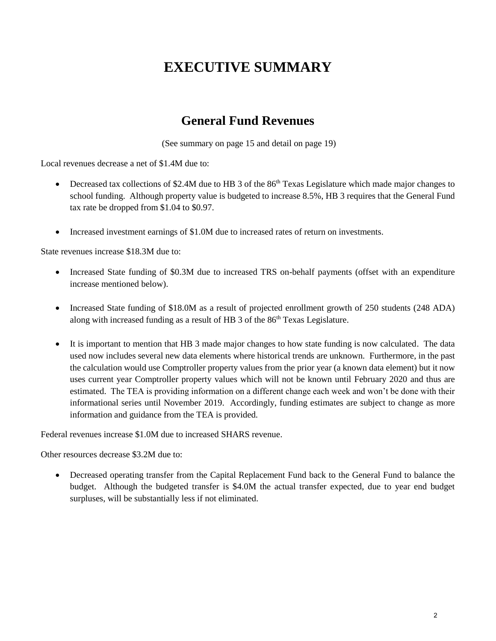# **EXECUTIVE SUMMARY**

# **General Fund Revenues**

(See summary on page 15 and detail on page 19)

Local revenues decrease a net of \$1.4M due to:

- Decreased tax collections of \$2.4M due to HB 3 of the  $86<sup>th</sup>$  Texas Legislature which made major changes to school funding. Although property value is budgeted to increase 8.5%, HB 3 requires that the General Fund tax rate be dropped from \$1.04 to \$0.97.
- Increased investment earnings of \$1.0M due to increased rates of return on investments.

State revenues increase \$18.3M due to:

- Increased State funding of \$0.3M due to increased TRS on-behalf payments (offset with an expenditure increase mentioned below).
- Increased State funding of \$18.0M as a result of projected enrollment growth of 250 students (248 ADA) along with increased funding as a result of HB 3 of the 86<sup>th</sup> Texas Legislature.
- It is important to mention that HB 3 made major changes to how state funding is now calculated. The data used now includes several new data elements where historical trends are unknown. Furthermore, in the past the calculation would use Comptroller property values from the prior year (a known data element) but it now uses current year Comptroller property values which will not be known until February 2020 and thus are estimated. The TEA is providing information on a different change each week and won't be done with their informational series until November 2019. Accordingly, funding estimates are subject to change as more information and guidance from the TEA is provided.

Federal revenues increase \$1.0M due to increased SHARS revenue.

Other resources decrease \$3.2M due to:

• Decreased operating transfer from the Capital Replacement Fund back to the General Fund to balance the budget. Although the budgeted transfer is \$4.0M the actual transfer expected, due to year end budget surpluses, will be substantially less if not eliminated.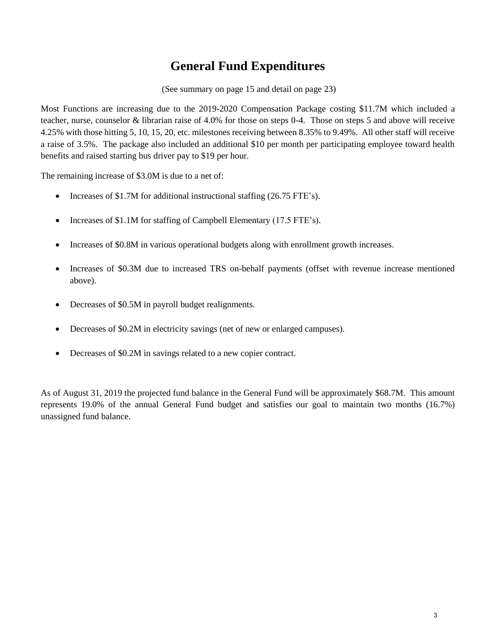# **General Fund Expenditures**

(See summary on page 15 and detail on page 23)

Most Functions are increasing due to the 2019-2020 Compensation Package costing \$11.7M which included a teacher, nurse, counselor & librarian raise of 4.0% for those on steps 0-4. Those on steps 5 and above will receive 4.25% with those hitting 5, 10, 15, 20, etc. milestones receiving between 8.35% to 9.49%. All other staff will receive a raise of 3.5%. The package also included an additional \$10 per month per participating employee toward health benefits and raised starting bus driver pay to \$19 per hour.

The remaining increase of \$3.0M is due to a net of:

- Increases of \$1.7M for additional instructional staffing (26.75 FTE's).
- Increases of \$1.1M for staffing of Campbell Elementary (17.5 FTE's).
- Increases of \$0.8M in various operational budgets along with enrollment growth increases.
- Increases of \$0.3M due to increased TRS on-behalf payments (offset with revenue increase mentioned above).
- Decreases of \$0.5M in payroll budget realignments.
- Decreases of \$0.2M in electricity savings (net of new or enlarged campuses).
- Decreases of \$0.2M in savings related to a new copier contract.

As of August 31, 2019 the projected fund balance in the General Fund will be approximately \$68.7M. This amount represents 19.0% of the annual General Fund budget and satisfies our goal to maintain two months (16.7%) unassigned fund balance.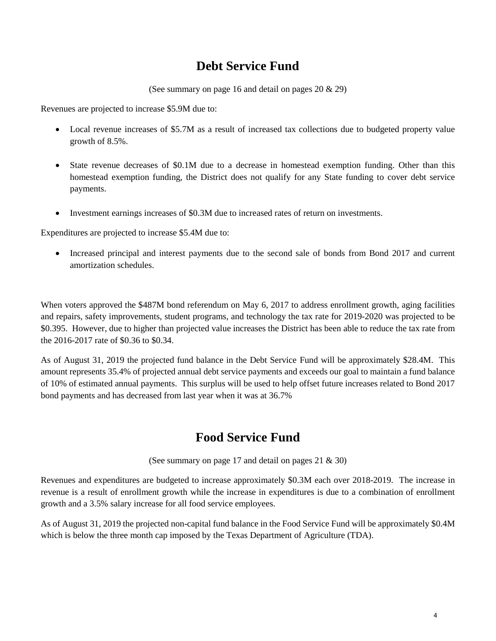# **Debt Service Fund**

(See summary on page 16 and detail on pages 20 & 29)

Revenues are projected to increase \$5.9M due to:

- Local revenue increases of \$5.7M as a result of increased tax collections due to budgeted property value growth of 8.5%.
- State revenue decreases of \$0.1M due to a decrease in homestead exemption funding. Other than this homestead exemption funding, the District does not qualify for any State funding to cover debt service payments.
- Investment earnings increases of \$0.3M due to increased rates of return on investments.

Expenditures are projected to increase \$5.4M due to:

• Increased principal and interest payments due to the second sale of bonds from Bond 2017 and current amortization schedules.

When voters approved the \$487M bond referendum on May 6, 2017 to address enrollment growth, aging facilities and repairs, safety improvements, student programs, and technology the tax rate for 2019-2020 was projected to be \$0.395. However, due to higher than projected value increases the District has been able to reduce the tax rate from the 2016-2017 rate of \$0.36 to \$0.34.

As of August 31, 2019 the projected fund balance in the Debt Service Fund will be approximately \$28.4M. This amount represents 35.4% of projected annual debt service payments and exceeds our goal to maintain a fund balance of 10% of estimated annual payments. This surplus will be used to help offset future increases related to Bond 2017 bond payments and has decreased from last year when it was at 36.7%

# **Food Service Fund**

(See summary on page 17 and detail on pages 21 & 30)

Revenues and expenditures are budgeted to increase approximately \$0.3M each over 2018-2019. The increase in revenue is a result of enrollment growth while the increase in expenditures is due to a combination of enrollment growth and a 3.5% salary increase for all food service employees.

As of August 31, 2019 the projected non-capital fund balance in the Food Service Fund will be approximately \$0.4M which is below the three month cap imposed by the Texas Department of Agriculture (TDA).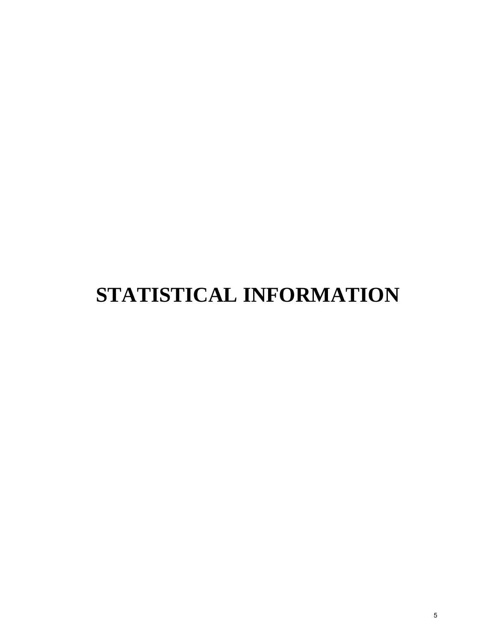# **STATISTICAL INFORMATION**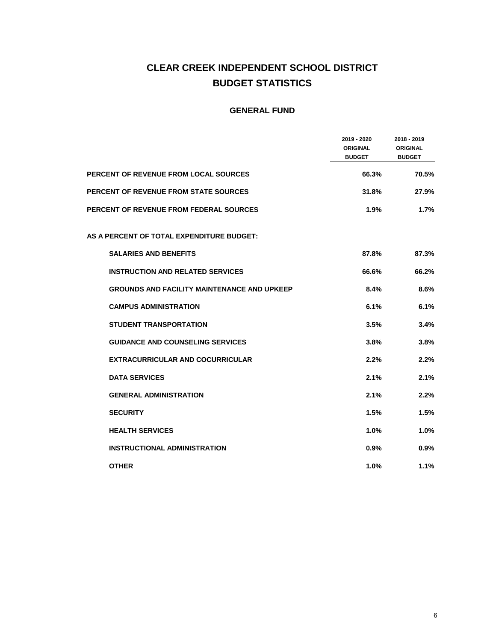#### **CLEAR CREEK INDEPENDENT SCHOOL DISTRICT BUDGET STATISTICS**

|                                                    | 2019 - 2020<br><b>ORIGINAL</b><br><b>BUDGET</b> | 2018 - 2019<br><b>ORIGINAL</b><br><b>BUDGET</b> |
|----------------------------------------------------|-------------------------------------------------|-------------------------------------------------|
| <b>PERCENT OF REVENUE FROM LOCAL SOURCES</b>       | 66.3%                                           | 70.5%                                           |
| <b>PERCENT OF REVENUE FROM STATE SOURCES</b>       | 31.8%                                           | 27.9%                                           |
| <b>PERCENT OF REVENUE FROM FEDERAL SOURCES</b>     | 1.9%                                            | 1.7%                                            |
| AS A PERCENT OF TOTAL EXPENDITURE BUDGET:          |                                                 |                                                 |
| <b>SALARIES AND BENEFITS</b>                       | 87.8%                                           | 87.3%                                           |
| <b>INSTRUCTION AND RELATED SERVICES</b>            | 66.6%                                           | 66.2%                                           |
| <b>GROUNDS AND FACILITY MAINTENANCE AND UPKEEP</b> | 8.4%                                            | 8.6%                                            |
| <b>CAMPUS ADMINISTRATION</b>                       | 6.1%                                            | 6.1%                                            |
| <b>STUDENT TRANSPORTATION</b>                      | 3.5%                                            | 3.4%                                            |
| <b>GUIDANCE AND COUNSELING SERVICES</b>            | 3.8%                                            | 3.8%                                            |
| <b>EXTRACURRICULAR AND COCURRICULAR</b>            | 2.2%                                            | 2.2%                                            |
| <b>DATA SERVICES</b>                               | 2.1%                                            | 2.1%                                            |
| <b>GENERAL ADMINISTRATION</b>                      | 2.1%                                            | 2.2%                                            |
| <b>SECURITY</b>                                    | 1.5%                                            | 1.5%                                            |
| <b>HEALTH SERVICES</b>                             | 1.0%                                            | 1.0%                                            |
| <b>INSTRUCTIONAL ADMINISTRATION</b>                | 0.9%                                            | 0.9%                                            |
| <b>OTHER</b>                                       | 1.0%                                            | 1.1%                                            |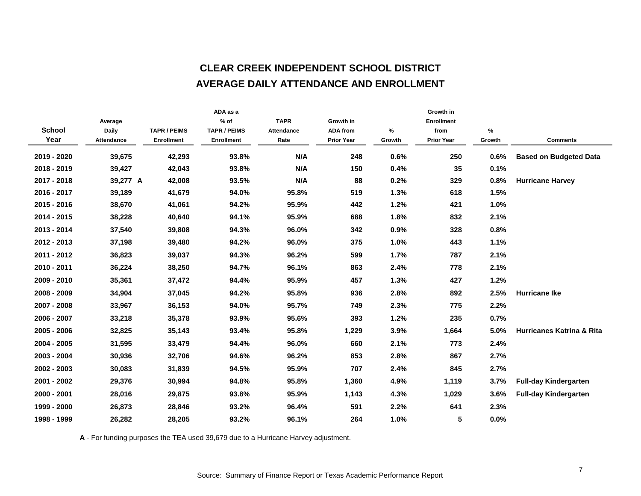#### **CLEAR CREEK INDEPENDENT SCHOOL DISTRICT AVERAGE DAILY ATTENDANCE AND ENROLLMENT**

|         |                            | ADA as a                                             |                                          |                    |                                      | Growth in         |                           |                                      |
|---------|----------------------------|------------------------------------------------------|------------------------------------------|--------------------|--------------------------------------|-------------------|---------------------------|--------------------------------------|
| Average |                            | $%$ of                                               | <b>TAPR</b>                              | Growth in          |                                      | <b>Enrollment</b> |                           |                                      |
|         |                            |                                                      |                                          |                    |                                      |                   |                           |                                      |
|         |                            |                                                      |                                          |                    |                                      |                   |                           | <b>Comments</b>                      |
| 39,675  | 42,293                     | 93.8%                                                | N/A                                      | 248                | 0.6%                                 | 250               | 0.6%                      | <b>Based on Budgeted Data</b>        |
| 39,427  | 42,043                     | 93.8%                                                | N/A                                      | 150                | 0.4%                                 | 35                | 0.1%                      |                                      |
|         | 42,008                     | 93.5%                                                | N/A                                      | 88                 | 0.2%                                 | 329               | 0.8%                      | <b>Hurricane Harvey</b>              |
| 39,189  | 41,679                     | 94.0%                                                | 95.8%                                    | 519                | 1.3%                                 | 618               | 1.5%                      |                                      |
| 38,670  | 41,061                     | 94.2%                                                | 95.9%                                    | 442                | 1.2%                                 | 421               | 1.0%                      |                                      |
| 38,228  | 40,640                     | 94.1%                                                | 95.9%                                    | 688                | 1.8%                                 | 832               | 2.1%                      |                                      |
| 37,540  | 39,808                     | 94.3%                                                | 96.0%                                    | 342                | 0.9%                                 | 328               | 0.8%                      |                                      |
| 37,198  | 39,480                     | 94.2%                                                | 96.0%                                    | 375                | 1.0%                                 | 443               | 1.1%                      |                                      |
| 36,823  | 39,037                     | 94.3%                                                | 96.2%                                    | 599                | 1.7%                                 | 787               | 2.1%                      |                                      |
| 36,224  | 38,250                     | 94.7%                                                | 96.1%                                    | 863                | 2.4%                                 | 778               | 2.1%                      |                                      |
| 35,361  | 37,472                     | 94.4%                                                | 95.9%                                    | 457                | 1.3%                                 | 427               | 1.2%                      |                                      |
| 34,904  | 37,045                     | 94.2%                                                | 95.8%                                    | 936                | 2.8%                                 | 892               | 2.5%                      | <b>Hurricane Ike</b>                 |
| 33,967  | 36,153                     | 94.0%                                                | 95.7%                                    | 749                | 2.3%                                 | 775               | 2.2%                      |                                      |
| 33,218  | 35,378                     | 93.9%                                                | 95.6%                                    | 393                | 1.2%                                 | 235               | 0.7%                      |                                      |
| 32,825  | 35,143                     | 93.4%                                                | 95.8%                                    | 1,229              | 3.9%                                 | 1,664             | 5.0%                      | <b>Hurricanes Katrina &amp; Rita</b> |
| 31,595  | 33,479                     | 94.4%                                                | 96.0%                                    | 660                | 2.1%                                 | 773               | 2.4%                      |                                      |
| 30,936  | 32,706                     | 94.6%                                                | 96.2%                                    | 853                | 2.8%                                 | 867               | 2.7%                      |                                      |
| 30,083  | 31,839                     | 94.5%                                                | 95.9%                                    | 707                | 2.4%                                 | 845               | 2.7%                      |                                      |
| 29,376  | 30,994                     | 94.8%                                                | 95.8%                                    | 1,360              | 4.9%                                 | 1,119             | 3.7%                      | <b>Full-day Kindergarten</b>         |
| 28,016  | 29,875                     | 93.8%                                                | 95.9%                                    | 1,143              | 4.3%                                 | 1,029             | 3.6%                      | <b>Full-day Kindergarten</b>         |
| 26,873  | 28,846                     | 93.2%                                                | 96.4%                                    | 591                | 2.2%                                 | 641               | 2.3%                      |                                      |
| 26,282  | 28,205                     | 93.2%                                                | 96.1%                                    | 264                | 1.0%                                 | 5                 | 0.0%                      |                                      |
|         | <b>Daily</b><br>Attendance | <b>TAPR / PEIMS</b><br><b>Enrollment</b><br>39,277 A | <b>TAPR / PEIMS</b><br><b>Enrollment</b> | Attendance<br>Rate | <b>ADA from</b><br><b>Prior Year</b> | $\%$<br>Growth    | from<br><b>Prior Year</b> | %<br>Growth                          |

**A** - For funding purposes the TEA used 39,679 due to a Hurricane Harvey adjustment.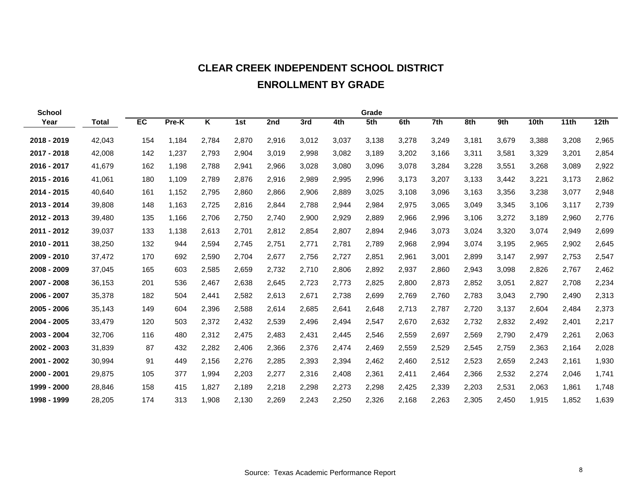# **CLEAR CREEK INDEPENDENT SCHOOL DISTRICT**

#### **ENROLLMENT BY GRADE**

| <b>School</b> |              |     |       |                         |       |       |       |       | Grade |       |       |       |       |       |       |       |
|---------------|--------------|-----|-------|-------------------------|-------|-------|-------|-------|-------|-------|-------|-------|-------|-------|-------|-------|
| Year          | <b>Total</b> | EC  | Pre-K | $\overline{\mathsf{K}}$ | 1st   | 2nd   | 3rd   | 4th   | 5th   | 6th   | 7th   | 8th   | 9th   | 10th  | 11th  | 12th  |
| 2018 - 2019   | 42,043       | 154 | 1.184 | 2,784                   | 2,870 | 2,916 | 3,012 | 3,037 | 3,138 | 3,278 | 3,249 | 3,181 | 3,679 | 3,388 | 3,208 | 2,965 |
| 2017 - 2018   | 42,008       | 142 | 1,237 | 2,793                   | 2,904 | 3,019 | 2,998 | 3,082 | 3,189 | 3,202 | 3,166 | 3,311 | 3,581 | 3,329 | 3,201 | 2,854 |
| 2016 - 2017   | 41,679       | 162 | 1,198 | 2,788                   | 2,941 | 2,966 | 3,028 | 3,080 | 3,096 | 3,078 | 3,284 | 3,228 | 3,551 | 3,268 | 3,089 | 2,922 |
| 2015 - 2016   | 41,061       | 180 | 1,109 | 2,789                   | 2,876 | 2,916 | 2,989 | 2,995 | 2,996 | 3,173 | 3,207 | 3,133 | 3,442 | 3,221 | 3,173 | 2,862 |
| 2014 - 2015   | 40,640       | 161 | 1,152 | 2,795                   | 2,860 | 2,866 | 2,906 | 2,889 | 3,025 | 3,108 | 3,096 | 3,163 | 3,356 | 3,238 | 3,077 | 2,948 |
| 2013 - 2014   | 39,808       | 148 | 1,163 | 2,725                   | 2,816 | 2,844 | 2,788 | 2,944 | 2,984 | 2,975 | 3,065 | 3,049 | 3,345 | 3,106 | 3,117 | 2,739 |
| 2012 - 2013   | 39,480       | 135 | 1,166 | 2,706                   | 2,750 | 2,740 | 2,900 | 2,929 | 2,889 | 2,966 | 2,996 | 3,106 | 3,272 | 3,189 | 2,960 | 2,776 |
| 2011 - 2012   | 39,037       | 133 | 1,138 | 2,613                   | 2,701 | 2,812 | 2,854 | 2,807 | 2,894 | 2,946 | 3,073 | 3,024 | 3,320 | 3,074 | 2,949 | 2,699 |
| 2010 - 2011   | 38,250       | 132 | 944   | 2,594                   | 2,745 | 2,751 | 2,771 | 2,781 | 2,789 | 2,968 | 2,994 | 3,074 | 3,195 | 2,965 | 2,902 | 2,645 |
| 2009 - 2010   | 37,472       | 170 | 692   | 2,590                   | 2,704 | 2,677 | 2,756 | 2,727 | 2,851 | 2,961 | 3,001 | 2,899 | 3,147 | 2,997 | 2,753 | 2,547 |
| 2008 - 2009   | 37,045       | 165 | 603   | 2,585                   | 2,659 | 2,732 | 2,710 | 2,806 | 2,892 | 2,937 | 2,860 | 2,943 | 3,098 | 2,826 | 2,767 | 2,462 |
| 2007 - 2008   | 36,153       | 201 | 536   | 2,467                   | 2,638 | 2,645 | 2,723 | 2,773 | 2,825 | 2,800 | 2,873 | 2,852 | 3,051 | 2,827 | 2,708 | 2,234 |
| 2006 - 2007   | 35,378       | 182 | 504   | 2,441                   | 2,582 | 2,613 | 2,671 | 2,738 | 2,699 | 2,769 | 2,760 | 2,783 | 3,043 | 2,790 | 2,490 | 2,313 |
| 2005 - 2006   | 35,143       | 149 | 604   | 2,396                   | 2,588 | 2,614 | 2,685 | 2,641 | 2,648 | 2,713 | 2,787 | 2,720 | 3,137 | 2,604 | 2,484 | 2,373 |
| 2004 - 2005   | 33,479       | 120 | 503   | 2,372                   | 2,432 | 2,539 | 2,496 | 2,494 | 2,547 | 2,670 | 2,632 | 2,732 | 2,832 | 2,492 | 2,401 | 2,217 |
| 2003 - 2004   | 32,706       | 116 | 480   | 2,312                   | 2,475 | 2,483 | 2,431 | 2,445 | 2,546 | 2,559 | 2,697 | 2,569 | 2,790 | 2,479 | 2,261 | 2,063 |
| 2002 - 2003   | 31,839       | 87  | 432   | 2,282                   | 2,406 | 2,366 | 2,376 | 2,474 | 2,469 | 2,559 | 2,529 | 2,545 | 2,759 | 2,363 | 2,164 | 2,028 |
| 2001 - 2002   | 30,994       | 91  | 449   | 2,156                   | 2,276 | 2,285 | 2,393 | 2,394 | 2,462 | 2,460 | 2,512 | 2,523 | 2,659 | 2,243 | 2,161 | 1,930 |
| 2000 - 2001   | 29,875       | 105 | 377   | 1,994                   | 2,203 | 2,277 | 2,316 | 2,408 | 2,361 | 2,411 | 2,464 | 2,366 | 2,532 | 2,274 | 2,046 | 1,741 |
| 1999 - 2000   | 28,846       | 158 | 415   | 1,827                   | 2,189 | 2,218 | 2,298 | 2,273 | 2,298 | 2,425 | 2,339 | 2,203 | 2,531 | 2,063 | 1,861 | 1,748 |
| 1998 - 1999   | 28,205       | 174 | 313   | 1,908                   | 2,130 | 2,269 | 2,243 | 2,250 | 2,326 | 2,168 | 2,263 | 2,305 | 2,450 | 1,915 | 1,852 | 1,639 |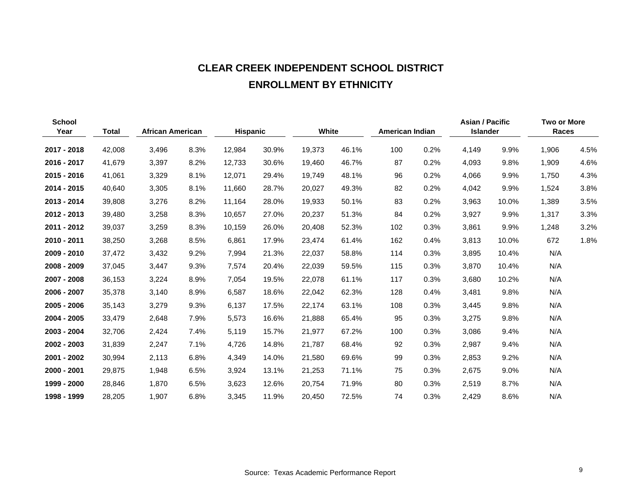# **CLEAR CREEK INDEPENDENT SCHOOL DISTRICT ENROLLMENT BY ETHNICITY**

| <b>School</b><br>Year | <b>Total</b> | <b>African American</b> |      | <b>Hispanic</b> |       |        | White |     | American Indian |       | <b>Asian / Pacific</b><br><b>Islander</b> | <b>Two or More</b><br>Races |      |
|-----------------------|--------------|-------------------------|------|-----------------|-------|--------|-------|-----|-----------------|-------|-------------------------------------------|-----------------------------|------|
| 2017 - 2018           | 42,008       | 3,496                   | 8.3% | 12,984          | 30.9% | 19,373 | 46.1% | 100 | 0.2%            | 4,149 | 9.9%                                      | 1,906                       | 4.5% |
| 2016 - 2017           | 41,679       | 3,397                   | 8.2% | 12,733          | 30.6% | 19,460 | 46.7% | 87  | 0.2%            | 4,093 | 9.8%                                      | 1,909                       | 4.6% |
| 2015 - 2016           | 41,061       | 3,329                   | 8.1% | 12,071          | 29.4% | 19,749 | 48.1% | 96  | 0.2%            | 4,066 | 9.9%                                      | 1,750                       | 4.3% |
| 2014 - 2015           | 40,640       | 3,305                   | 8.1% | 11,660          | 28.7% | 20,027 | 49.3% | 82  | 0.2%            | 4,042 | 9.9%                                      | 1,524                       | 3.8% |
| 2013 - 2014           | 39,808       | 3,276                   | 8.2% | 11,164          | 28.0% | 19,933 | 50.1% | 83  | 0.2%            | 3,963 | 10.0%                                     | 1,389                       | 3.5% |
| 2012 - 2013           | 39,480       | 3,258                   | 8.3% | 10,657          | 27.0% | 20,237 | 51.3% | 84  | 0.2%            | 3,927 | 9.9%                                      | 1,317                       | 3.3% |
| 2011 - 2012           | 39,037       | 3,259                   | 8.3% | 10,159          | 26.0% | 20,408 | 52.3% | 102 | 0.3%            | 3,861 | 9.9%                                      | 1,248                       | 3.2% |
| 2010 - 2011           | 38,250       | 3,268                   | 8.5% | 6,861           | 17.9% | 23,474 | 61.4% | 162 | 0.4%            | 3,813 | 10.0%                                     | 672                         | 1.8% |
| 2009 - 2010           | 37,472       | 3,432                   | 9.2% | 7,994           | 21.3% | 22,037 | 58.8% | 114 | 0.3%            | 3,895 | 10.4%                                     | N/A                         |      |
| 2008 - 2009           | 37,045       | 3,447                   | 9.3% | 7,574           | 20.4% | 22,039 | 59.5% | 115 | 0.3%            | 3,870 | 10.4%                                     | N/A                         |      |
| 2007 - 2008           | 36,153       | 3,224                   | 8.9% | 7,054           | 19.5% | 22,078 | 61.1% | 117 | 0.3%            | 3,680 | 10.2%                                     | N/A                         |      |
| 2006 - 2007           | 35,378       | 3,140                   | 8.9% | 6,587           | 18.6% | 22,042 | 62.3% | 128 | 0.4%            | 3,481 | 9.8%                                      | N/A                         |      |
| 2005 - 2006           | 35,143       | 3,279                   | 9.3% | 6,137           | 17.5% | 22,174 | 63.1% | 108 | 0.3%            | 3,445 | 9.8%                                      | N/A                         |      |
| 2004 - 2005           | 33,479       | 2,648                   | 7.9% | 5,573           | 16.6% | 21,888 | 65.4% | 95  | 0.3%            | 3,275 | 9.8%                                      | N/A                         |      |
| 2003 - 2004           | 32,706       | 2,424                   | 7.4% | 5,119           | 15.7% | 21,977 | 67.2% | 100 | 0.3%            | 3,086 | 9.4%                                      | N/A                         |      |
| 2002 - 2003           | 31,839       | 2,247                   | 7.1% | 4,726           | 14.8% | 21,787 | 68.4% | 92  | 0.3%            | 2,987 | 9.4%                                      | N/A                         |      |
| 2001 - 2002           | 30,994       | 2,113                   | 6.8% | 4,349           | 14.0% | 21,580 | 69.6% | 99  | 0.3%            | 2,853 | 9.2%                                      | N/A                         |      |
| 2000 - 2001           | 29,875       | 1,948                   | 6.5% | 3,924           | 13.1% | 21,253 | 71.1% | 75  | 0.3%            | 2,675 | 9.0%                                      | N/A                         |      |
| 1999 - 2000           | 28,846       | 1,870                   | 6.5% | 3,623           | 12.6% | 20,754 | 71.9% | 80  | 0.3%            | 2,519 | 8.7%                                      | N/A                         |      |
| 1998 - 1999           | 28,205       | 1,907                   | 6.8% | 3,345           | 11.9% | 20,450 | 72.5% | 74  | 0.3%            | 2,429 | 8.6%                                      | N/A                         |      |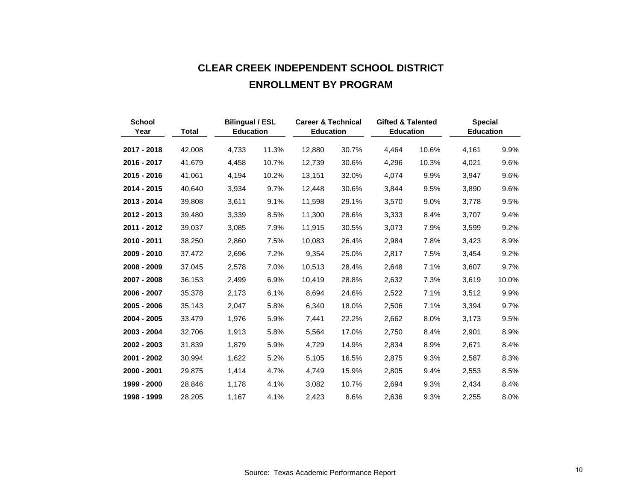# **CLEAR CREEK INDEPENDENT SCHOOL DISTRICT ENROLLMENT BY PROGRAM**

| <b>School</b><br>Year | <b>Total</b> | <b>Bilingual / ESL</b><br><b>Education</b> |       | <b>Career &amp; Technical</b><br><b>Education</b> |       | <b>Gifted &amp; Talented</b><br><b>Education</b> |         | <b>Special</b><br><b>Education</b> |         |
|-----------------------|--------------|--------------------------------------------|-------|---------------------------------------------------|-------|--------------------------------------------------|---------|------------------------------------|---------|
| 2017 - 2018           | 42,008       | 4,733                                      | 11.3% | 12,880                                            | 30.7% | 4,464                                            | 10.6%   | 4,161                              | 9.9%    |
| 2016 - 2017           | 41,679       | 4,458                                      | 10.7% | 12,739                                            | 30.6% | 4,296                                            | 10.3%   | 4,021                              | 9.6%    |
| 2015 - 2016           | 41,061       | 4,194                                      | 10.2% | 13,151                                            | 32.0% | 4,074                                            | 9.9%    | 3,947                              | 9.6%    |
| 2014 - 2015           | 40,640       | 3,934                                      | 9.7%  | 12,448                                            | 30.6% | 3,844                                            | 9.5%    | 3,890                              | 9.6%    |
| 2013 - 2014           | 39,808       | 3,611                                      | 9.1%  | 11,598                                            | 29.1% | 3,570                                            | 9.0%    | 3,778                              | 9.5%    |
| 2012 - 2013           | 39,480       | 3,339                                      | 8.5%  | 11,300                                            | 28.6% | 3,333                                            | 8.4%    | 3,707                              | $9.4\%$ |
| 2011 - 2012           | 39,037       | 3,085                                      | 7.9%  | 11,915                                            | 30.5% | 3,073                                            | 7.9%    | 3,599                              | 9.2%    |
| 2010 - 2011           | 38,250       | 2,860                                      | 7.5%  | 10,083                                            | 26.4% | 2,984                                            | 7.8%    | 3,423                              | 8.9%    |
| 2009 - 2010           | 37,472       | 2,696                                      | 7.2%  | 9,354                                             | 25.0% | 2,817                                            | 7.5%    | 3,454                              | 9.2%    |
| 2008 - 2009           | 37,045       | 2,578                                      | 7.0%  | 10,513                                            | 28.4% | 2,648                                            | 7.1%    | 3,607                              | 9.7%    |
| 2007 - 2008           | 36,153       | 2,499                                      | 6.9%  | 10,419                                            | 28.8% | 2,632                                            | 7.3%    | 3,619                              | 10.0%   |
| 2006 - 2007           | 35,378       | 2,173                                      | 6.1%  | 8,694                                             | 24.6% | 2,522                                            | 7.1%    | 3,512                              | 9.9%    |
| 2005 - 2006           | 35,143       | 2,047                                      | 5.8%  | 6,340                                             | 18.0% | 2,506                                            | 7.1%    | 3,394                              | 9.7%    |
| 2004 - 2005           | 33,479       | 1,976                                      | 5.9%  | 7,441                                             | 22.2% | 2,662                                            | 8.0%    | 3,173                              | 9.5%    |
| 2003 - 2004           | 32,706       | 1,913                                      | 5.8%  | 5,564                                             | 17.0% | 2,750                                            | 8.4%    | 2,901                              | 8.9%    |
| 2002 - 2003           | 31,839       | 1,879                                      | 5.9%  | 4,729                                             | 14.9% | 2,834                                            | 8.9%    | 2,671                              | 8.4%    |
| 2001 - 2002           | 30,994       | 1,622                                      | 5.2%  | 5,105                                             | 16.5% | 2,875                                            | 9.3%    | 2,587                              | 8.3%    |
| 2000 - 2001           | 29,875       | 1.414                                      | 4.7%  | 4,749                                             | 15.9% | 2,805                                            | $9.4\%$ | 2,553                              | 8.5%    |
| 1999 - 2000           | 28,846       | 1,178                                      | 4.1%  | 3,082                                             | 10.7% | 2,694                                            | 9.3%    | 2,434                              | 8.4%    |
| 1998 - 1999           | 28,205       | 1,167                                      | 4.1%  | 2,423                                             | 8.6%  | 2,636                                            | 9.3%    | 2,255                              | 8.0%    |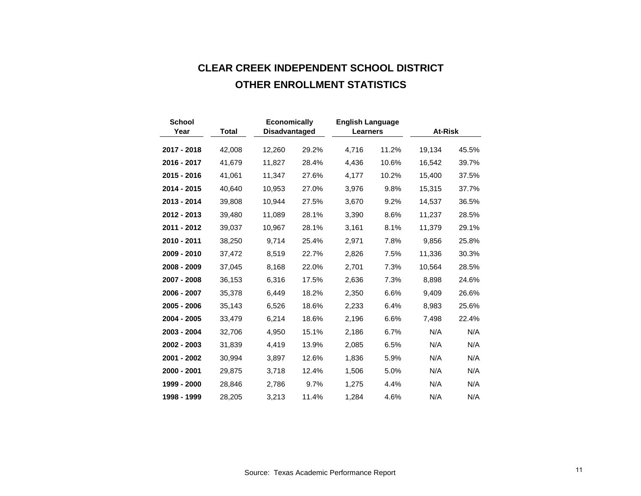# **CLEAR CREEK INDEPENDENT SCHOOL DISTRICT OTHER ENROLLMENT STATISTICS**

| <b>School</b><br>Year | <b>Total</b> | <b>Economically</b><br><b>Disadvantaged</b> |       | <b>English Language</b><br><b>Learners</b> |       | At-Risk |       |
|-----------------------|--------------|---------------------------------------------|-------|--------------------------------------------|-------|---------|-------|
| 2017 - 2018           | 42,008       | 12,260                                      | 29.2% | 4,716                                      | 11.2% | 19,134  | 45.5% |
| 2016 - 2017           | 41,679       | 11,827                                      | 28.4% | 4,436                                      | 10.6% | 16,542  | 39.7% |
| 2015 - 2016           | 41,061       | 11,347                                      | 27.6% | 4,177                                      | 10.2% | 15,400  | 37.5% |
| 2014 - 2015           | 40,640       | 10,953                                      | 27.0% | 3,976                                      | 9.8%  | 15,315  | 37.7% |
| 2013 - 2014           | 39,808       | 10,944                                      | 27.5% | 3,670                                      | 9.2%  | 14,537  | 36.5% |
| 2012 - 2013           | 39,480       | 11,089                                      | 28.1% | 3,390                                      | 8.6%  | 11,237  | 28.5% |
| 2011 - 2012           | 39,037       | 10,967                                      | 28.1% | 3,161                                      | 8.1%  | 11,379  | 29.1% |
| 2010 - 2011           | 38,250       | 9,714                                       | 25.4% | 2,971                                      | 7.8%  | 9,856   | 25.8% |
| 2009 - 2010           | 37,472       | 8,519                                       | 22.7% | 2,826                                      | 7.5%  | 11,336  | 30.3% |
| 2008 - 2009           | 37,045       | 8,168                                       | 22.0% | 2,701                                      | 7.3%  | 10,564  | 28.5% |
| 2007 - 2008           | 36,153       | 6,316                                       | 17.5% | 2,636                                      | 7.3%  | 8,898   | 24.6% |
| 2006 - 2007           | 35,378       | 6,449                                       | 18.2% | 2,350                                      | 6.6%  | 9,409   | 26.6% |
| 2005 - 2006           | 35,143       | 6,526                                       | 18.6% | 2,233                                      | 6.4%  | 8,983   | 25.6% |
| 2004 - 2005           | 33,479       | 6,214                                       | 18.6% | 2,196                                      | 6.6%  | 7,498   | 22.4% |
| 2003 - 2004           | 32,706       | 4,950                                       | 15.1% | 2,186                                      | 6.7%  | N/A     | N/A   |
| 2002 - 2003           | 31,839       | 4,419                                       | 13.9% | 2,085                                      | 6.5%  | N/A     | N/A   |
| 2001 - 2002           | 30,994       | 3,897                                       | 12.6% | 1,836                                      | 5.9%  | N/A     | N/A   |
| 2000 - 2001           | 29,875       | 3,718                                       | 12.4% | 1,506                                      | 5.0%  | N/A     | N/A   |
| 1999 - 2000           | 28,846       | 2,786                                       | 9.7%  | 1,275                                      | 4.4%  | N/A     | N/A   |
| 1998 - 1999           | 28,205       | 3,213                                       | 11.4% | 1,284                                      | 4.6%  | N/A     | N/A   |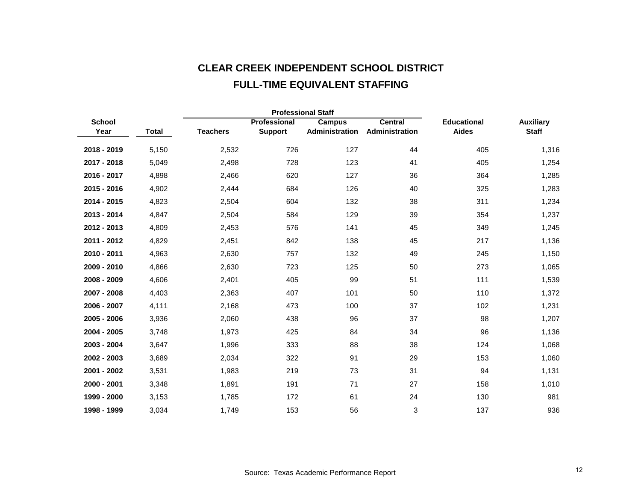# **CLEAR CREEK INDEPENDENT SCHOOL DISTRICT FULL-TIME EQUIVALENT STAFFING**

|               |       |                 |                | <b>Professional Staff</b> |                |                    |                  |
|---------------|-------|-----------------|----------------|---------------------------|----------------|--------------------|------------------|
| <b>School</b> |       |                 | Professional   | Campus                    | <b>Central</b> | <b>Educational</b> | <b>Auxiliary</b> |
| Year          | Total | <b>Teachers</b> | <b>Support</b> | Administration            | Administration | <b>Aides</b>       | <b>Staff</b>     |
| 2018 - 2019   | 5,150 | 2,532           | 726            | 127                       | 44             | 405                | 1,316            |
| 2017 - 2018   | 5,049 | 2,498           | 728            | 123                       | 41             | 405                | 1,254            |
| 2016 - 2017   | 4,898 | 2,466           | 620            | 127                       | 36             | 364                | 1,285            |
| 2015 - 2016   | 4,902 | 2,444           | 684            | 126                       | 40             | 325                | 1,283            |
| 2014 - 2015   | 4,823 | 2,504           | 604            | 132                       | 38             | 311                | 1,234            |
| 2013 - 2014   | 4,847 | 2,504           | 584            | 129                       | 39             | 354                | 1,237            |
| 2012 - 2013   | 4,809 | 2,453           | 576            | 141                       | 45             | 349                | 1,245            |
| 2011 - 2012   | 4,829 | 2,451           | 842            | 138                       | 45             | 217                | 1,136            |
| 2010 - 2011   | 4,963 | 2,630           | 757            | 132                       | 49             | 245                | 1,150            |
| 2009 - 2010   | 4,866 | 2,630           | 723            | 125                       | 50             | 273                | 1,065            |
| 2008 - 2009   | 4,606 | 2,401           | 405            | 99                        | 51             | 111                | 1,539            |
| 2007 - 2008   | 4,403 | 2,363           | 407            | 101                       | 50             | 110                | 1,372            |
| 2006 - 2007   | 4,111 | 2,168           | 473            | 100                       | 37             | 102                | 1,231            |
| 2005 - 2006   | 3,936 | 2,060           | 438            | 96                        | 37             | 98                 | 1,207            |
| 2004 - 2005   | 3,748 | 1,973           | 425            | 84                        | 34             | 96                 | 1,136            |
| 2003 - 2004   | 3,647 | 1,996           | 333            | 88                        | 38             | 124                | 1,068            |
| 2002 - 2003   | 3,689 | 2,034           | 322            | 91                        | 29             | 153                | 1,060            |
| 2001 - 2002   | 3,531 | 1,983           | 219            | 73                        | 31             | 94                 | 1,131            |
| 2000 - 2001   | 3,348 | 1,891           | 191            | 71                        | 27             | 158                | 1,010            |
| 1999 - 2000   | 3,153 | 1,785           | 172            | 61                        | 24             | 130                | 981              |
| 1998 - 1999   | 3.034 | 1,749           | 153            | 56                        | 3              | 137                | 936              |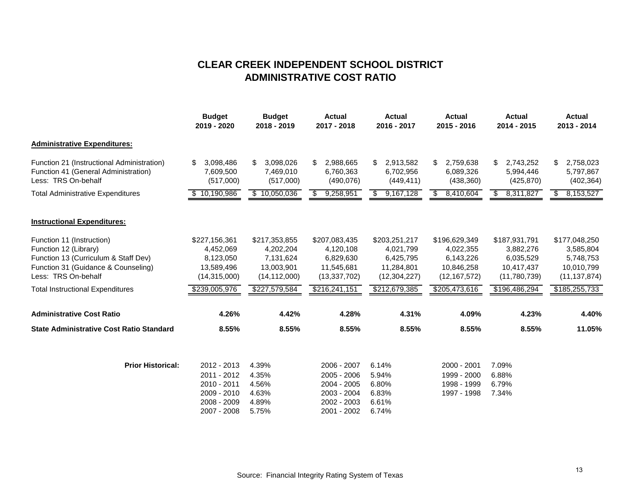#### **CLEAR CREEK INDEPENDENT SCHOOL DISTRICT ADMINISTRATIVE COST RATIO**

|                                                                                                                                                          | <b>Budget</b><br>2019 - 2020                                            | <b>Budget</b><br>2018 - 2019                                            | <b>Actual</b><br>2017 - 2018                                            | <b>Actual</b><br>2016 - 2017                                            | <b>Actual</b><br>2015 - 2016                                            | <b>Actual</b><br>2014 - 2015                                          | <b>Actual</b><br>2013 - 2014                                            |
|----------------------------------------------------------------------------------------------------------------------------------------------------------|-------------------------------------------------------------------------|-------------------------------------------------------------------------|-------------------------------------------------------------------------|-------------------------------------------------------------------------|-------------------------------------------------------------------------|-----------------------------------------------------------------------|-------------------------------------------------------------------------|
| <b>Administrative Expenditures:</b>                                                                                                                      |                                                                         |                                                                         |                                                                         |                                                                         |                                                                         |                                                                       |                                                                         |
| Function 21 (Instructional Administration)<br>Function 41 (General Administration)<br>Less: TRS On-behalf                                                | \$<br>3,098,486<br>7,609,500<br>(517,000)                               | \$<br>3,098,026<br>7,469,010<br>(517,000)                               | 2,988,665<br>\$.<br>6,760,363<br>(490,076)                              | 2,913,582<br>\$<br>6,702,956<br>(449, 411)                              | 2,759,638<br>S.<br>6,089,326<br>(438, 360)                              | \$<br>2,743,252<br>5,994,446<br>(425, 870)                            | \$<br>2,758,023<br>5,797,867<br>(402, 364)                              |
| <b>Total Administrative Expenditures</b>                                                                                                                 | $\overline{10,190,986}$                                                 | \$10,050,036                                                            | 9,258,951<br>\$                                                         | 9,167,128<br>\$                                                         | 8,410,604<br>\$                                                         | 8,311,827<br>\$                                                       | 8,153,527<br>\$                                                         |
| <b>Instructional Expenditures:</b>                                                                                                                       |                                                                         |                                                                         |                                                                         |                                                                         |                                                                         |                                                                       |                                                                         |
| Function 11 (Instruction)<br>Function 12 (Library)<br>Function 13 (Curriculum & Staff Dev)<br>Function 31 (Guidance & Counseling)<br>Less: TRS On-behalf | \$227,156,361<br>4,452,069<br>8,123,050<br>13,589,496<br>(14, 315, 000) | \$217,353,855<br>4,202,204<br>7,131,624<br>13.003.901<br>(14, 112, 000) | \$207,083,435<br>4,120,108<br>6,829,630<br>11,545,681<br>(13, 337, 702) | \$203,251,217<br>4,021,799<br>6,425,795<br>11.284.801<br>(12, 304, 227) | \$196,629,349<br>4,022,355<br>6,143,226<br>10,846,258<br>(12, 167, 572) | \$187,931,791<br>3,882,276<br>6,035,529<br>10,417,437<br>(11,780,739) | \$177,048,250<br>3,585,804<br>5,748,753<br>10,010,799<br>(11, 137, 874) |
| <b>Total Instructional Expenditures</b>                                                                                                                  | \$239,005,976                                                           | \$227,579,584                                                           | \$216,241,151                                                           | \$212,679,385                                                           | \$205,473,616                                                           | \$196,486,294                                                         | \$185,255,733                                                           |
| <b>Administrative Cost Ratio</b>                                                                                                                         | 4.26%                                                                   | 4.42%                                                                   | 4.28%                                                                   | 4.31%                                                                   | 4.09%                                                                   | 4.23%                                                                 | 4.40%                                                                   |
| <b>State Administrative Cost Ratio Standard</b>                                                                                                          | 8.55%                                                                   | 8.55%                                                                   | 8.55%                                                                   | 8.55%                                                                   | 8.55%                                                                   | 8.55%                                                                 | 11.05%                                                                  |
| <b>Prior Historical:</b>                                                                                                                                 | 2012 - 2013<br>2011 - 2012                                              | 4.39%<br>4.35%                                                          | 2006 - 2007<br>2005 - 2006                                              | 6.14%<br>5.94%                                                          | 2000 - 2001<br>1999 - 2000                                              | 7.09%<br>6.88%                                                        |                                                                         |
|                                                                                                                                                          | 2010 - 2011<br>2009 - 2010<br>2008 - 2009                               | 4.56%<br>4.63%<br>4.89%                                                 | 2004 - 2005<br>2003 - 2004<br>2002 - 2003                               | 6.80%<br>6.83%<br>6.61%                                                 | 1998 - 1999<br>1997 - 1998                                              | 6.79%<br>7.34%                                                        |                                                                         |
|                                                                                                                                                          | 2007 - 2008                                                             | 5.75%                                                                   | 2001 - 2002                                                             | 6.74%                                                                   |                                                                         |                                                                       |                                                                         |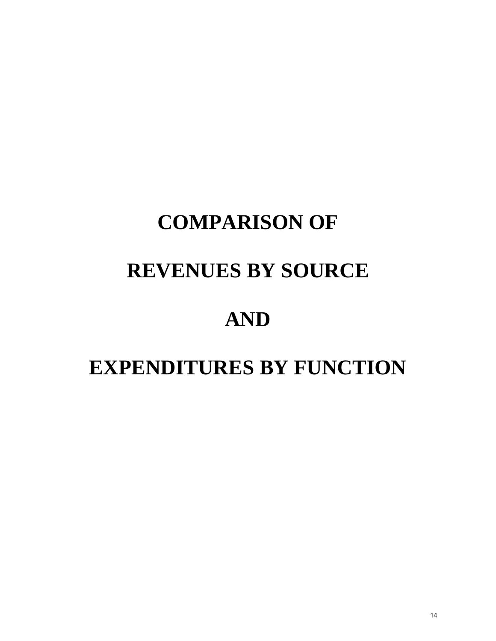# **COMPARISON OF**

# **REVENUES BY SOURCE**

# **AND**

# **EXPENDITURES BY FUNCTION**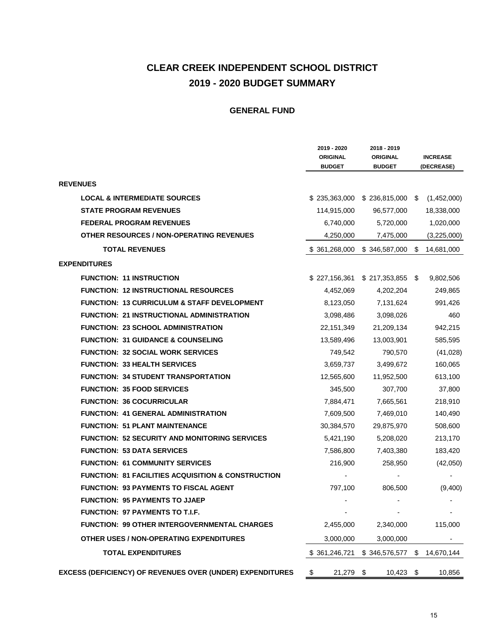#### **CLEAR CREEK INDEPENDENT SCHOOL DISTRICT 2019 - 2020 BUDGET SUMMARY**

|                                                               | 2019 - 2020                      | 2018 - 2019                      |                               |
|---------------------------------------------------------------|----------------------------------|----------------------------------|-------------------------------|
|                                                               | <b>ORIGINAL</b><br><b>BUDGET</b> | <b>ORIGINAL</b><br><b>BUDGET</b> | <b>INCREASE</b><br>(DECREASE) |
| <b>REVENUES</b>                                               |                                  |                                  |                               |
| <b>LOCAL &amp; INTERMEDIATE SOURCES</b>                       | \$235,363,000                    | $$236,815,000$ \\$               | (1,452,000)                   |
| <b>STATE PROGRAM REVENUES</b>                                 | 114,915,000                      | 96,577,000                       | 18,338,000                    |
| <b>FEDERAL PROGRAM REVENUES</b>                               | 6,740,000                        | 5,720,000                        | 1,020,000                     |
| <b>OTHER RESOURCES / NON-OPERATING REVENUES</b>               | 4,250,000                        | 7,475,000                        | (3,225,000)                   |
|                                                               |                                  |                                  |                               |
| <b>TOTAL REVENUES</b>                                         | \$361,268,000                    | \$346,587,000                    | \$<br>14,681,000              |
| <b>EXPENDITURES</b>                                           |                                  |                                  |                               |
| <b>FUNCTION: 11 INSTRUCTION</b>                               | \$227,156,361                    | $$217,353,855$ \;                | 9,802,506                     |
| <b>FUNCTION: 12 INSTRUCTIONAL RESOURCES</b>                   | 4,452,069                        | 4,202,204                        | 249,865                       |
| FUNCTION: 13 CURRICULUM & STAFF DEVELOPMENT                   | 8,123,050                        | 7,131,624                        | 991,426                       |
| <b>FUNCTION: 21 INSTRUCTIONAL ADMINISTRATION</b>              | 3,098,486                        | 3,098,026                        | 460                           |
| <b>FUNCTION: 23 SCHOOL ADMINISTRATION</b>                     | 22,151,349                       | 21,209,134                       | 942,215                       |
| <b>FUNCTION: 31 GUIDANCE &amp; COUNSELING</b>                 | 13,589,496                       | 13,003,901                       | 585,595                       |
| <b>FUNCTION: 32 SOCIAL WORK SERVICES</b>                      | 749,542                          | 790,570                          | (41, 028)                     |
| <b>FUNCTION: 33 HEALTH SERVICES</b>                           | 3,659,737                        | 3,499,672                        | 160,065                       |
| <b>FUNCTION: 34 STUDENT TRANSPORTATION</b>                    | 12,565,600                       | 11,952,500                       | 613,100                       |
| <b>FUNCTION: 35 FOOD SERVICES</b>                             | 345,500                          | 307,700                          | 37,800                        |
| <b>FUNCTION: 36 COCURRICULAR</b>                              | 7,884,471                        | 7,665,561                        | 218,910                       |
| <b>FUNCTION: 41 GENERAL ADMINISTRATION</b>                    | 7,609,500                        | 7,469,010                        | 140,490                       |
| <b>FUNCTION: 51 PLANT MAINTENANCE</b>                         | 30,384,570                       | 29,875,970                       | 508,600                       |
| <b>FUNCTION: 52 SECURITY AND MONITORING SERVICES</b>          | 5,421,190                        | 5,208,020                        | 213,170                       |
| <b>FUNCTION: 53 DATA SERVICES</b>                             | 7,586,800                        | 7,403,380                        | 183,420                       |
| <b>FUNCTION: 61 COMMUNITY SERVICES</b>                        | 216,900                          | 258,950                          | (42,050)                      |
| <b>FUNCTION: 81 FACILITIES ACQUISITION &amp; CONSTRUCTION</b> |                                  |                                  |                               |
| <b>FUNCTION: 93 PAYMENTS TO FISCAL AGENT</b>                  | 797,100                          | 806,500                          | (9,400)                       |
| <b>FUNCTION: 95 PAYMENTS TO JJAEP</b>                         |                                  |                                  |                               |
| <b>FUNCTION: 97 PAYMENTS TO T.I.F.</b>                        |                                  |                                  |                               |
| <b>FUNCTION: 99 OTHER INTERGOVERNMENTAL CHARGES</b>           | 2,455,000                        | 2,340,000                        | 115,000                       |
| OTHER USES / NON-OPERATING EXPENDITURES                       | 3,000,000                        | 3,000,000                        |                               |
| <b>TOTAL EXPENDITURES</b>                                     | \$361,246,721                    | \$346,576,577 \$14,670,144       |                               |
| EXCESS (DEFICIENCY) OF REVENUES OVER (UNDER) EXPENDITURES     | \$<br>21,279                     | \$<br>$10,423$ \$                | 10,856                        |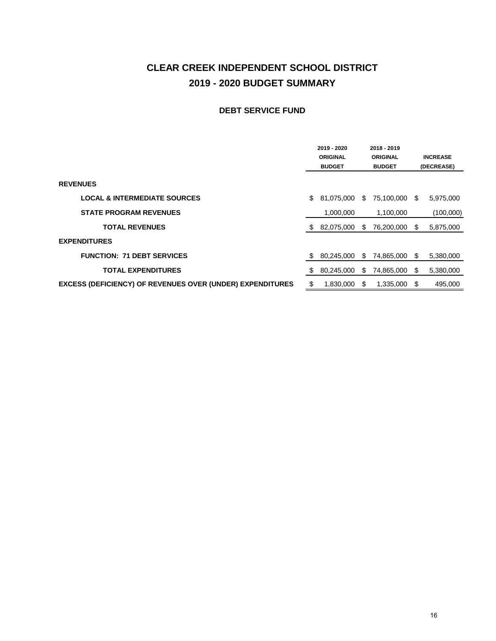#### **CLEAR CREEK INDEPENDENT SCHOOL DISTRICT 2019 - 2020 BUDGET SUMMARY**

#### **DEBT SERVICE FUND**

|                                                                  |    | 2019 - 2020<br><b>ORIGINAL</b><br><b>BUDGET</b> |     | 2018 - 2019<br><b>ORIGINAL</b><br><b>BUDGET</b> |      | <b>INCREASE</b><br>(DECREASE) |
|------------------------------------------------------------------|----|-------------------------------------------------|-----|-------------------------------------------------|------|-------------------------------|
| <b>REVENUES</b>                                                  |    |                                                 |     |                                                 |      |                               |
| <b>LOCAL &amp; INTERMEDIATE SOURCES</b>                          | S  | 81,075,000                                      | S.  | 75,100,000                                      | S.   | 5,975,000                     |
| <b>STATE PROGRAM REVENUES</b>                                    |    | 1,000,000                                       |     | 1,100,000                                       |      | (100,000)                     |
| <b>TOTAL REVENUES</b>                                            | S  | 82,075,000                                      | S   | 76,200,000                                      | S    | 5,875,000                     |
| <b>EXPENDITURES</b>                                              |    |                                                 |     |                                                 |      |                               |
| <b>FUNCTION: 71 DEBT SERVICES</b>                                | S  | 80,245,000                                      | S.  | 74,865,000                                      | S.   | 5,380,000                     |
| <b>TOTAL EXPENDITURES</b>                                        | S  | 80,245,000                                      | \$. | 74,865,000                                      | S    | 5,380,000                     |
| <b>EXCESS (DEFICIENCY) OF REVENUES OVER (UNDER) EXPENDITURES</b> | \$ | 1,830,000                                       | S   | 1,335,000                                       | - \$ | 495,000                       |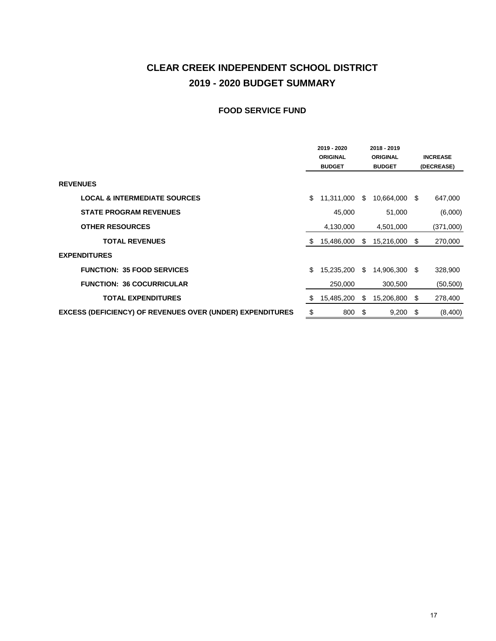#### **CLEAR CREEK INDEPENDENT SCHOOL DISTRICT 2019 - 2020 BUDGET SUMMARY**

#### **FOOD SERVICE FUND**

|                                                                  | 2019 - 2020<br>2018 - 2019<br><b>ORIGINAL</b><br><b>ORIGINAL</b><br><b>BUDGET</b><br><b>BUDGET</b> |            |    | <b>INCREASE</b><br>(DECREASE) |     |           |
|------------------------------------------------------------------|----------------------------------------------------------------------------------------------------|------------|----|-------------------------------|-----|-----------|
| <b>REVENUES</b>                                                  |                                                                                                    |            |    |                               |     |           |
| <b>LOCAL &amp; INTERMEDIATE SOURCES</b>                          | \$                                                                                                 | 11,311,000 | S. | 10,664,000                    | S   | 647,000   |
| <b>STATE PROGRAM REVENUES</b>                                    |                                                                                                    | 45,000     |    | 51,000                        |     | (6,000)   |
| <b>OTHER RESOURCES</b>                                           |                                                                                                    | 4,130,000  |    | 4,501,000                     |     | (371,000) |
| <b>TOTAL REVENUES</b>                                            | S                                                                                                  | 15,486,000 | S  | 15,216,000                    | \$  | 270,000   |
| <b>EXPENDITURES</b>                                              |                                                                                                    |            |    |                               |     |           |
| <b>FUNCTION: 35 FOOD SERVICES</b>                                | \$                                                                                                 | 15,235,200 | \$ | 14,906,300                    | \$  | 328,900   |
| <b>FUNCTION: 36 COCURRICULAR</b>                                 |                                                                                                    | 250,000    |    | 300,500                       |     | (50, 500) |
| <b>TOTAL EXPENDITURES</b>                                        | S.                                                                                                 | 15,485,200 | S  | 15,206,800                    | \$  | 278,400   |
| <b>EXCESS (DEFICIENCY) OF REVENUES OVER (UNDER) EXPENDITURES</b> | \$                                                                                                 | 800        | \$ | 9,200                         | -\$ | (8,400)   |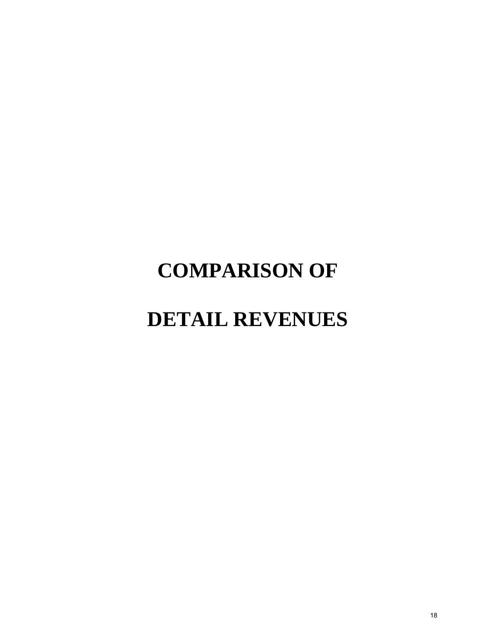# **COMPARISON OF**

# **DETAIL REVENUES**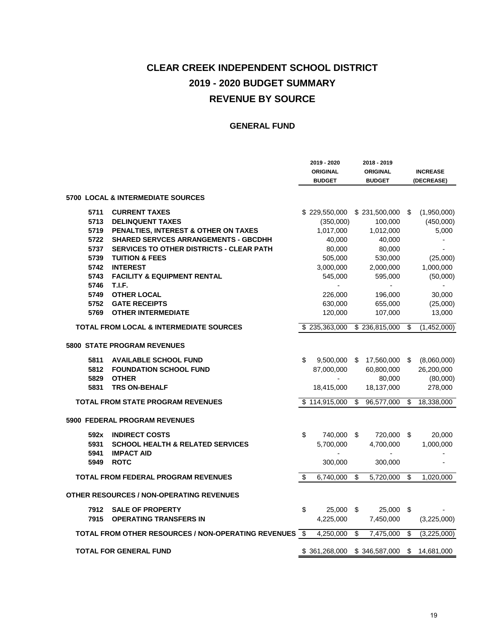## **CLEAR CREEK INDEPENDENT SCHOOL DISTRICT 2019 - 2020 BUDGET SUMMARY REVENUE BY SOURCE**

|      |                                                     |      | 2019 - 2020<br><b>ORIGINAL</b><br><b>BUDGET</b> |    | 2018 - 2019<br><b>ORIGINAL</b><br><b>BUDGET</b> |                         | <b>INCREASE</b><br>(DECREASE) |
|------|-----------------------------------------------------|------|-------------------------------------------------|----|-------------------------------------------------|-------------------------|-------------------------------|
|      | <b>5700 LOCAL &amp; INTERMEDIATE SOURCES</b>        |      |                                                 |    |                                                 |                         |                               |
| 5711 | <b>CURRENT TAXES</b>                                |      | \$229,550,000                                   |    | \$231,500,000                                   | S                       | (1,950,000)                   |
| 5713 | <b>DELINQUENT TAXES</b>                             |      | (350,000)                                       |    | 100,000                                         |                         | (450,000)                     |
| 5719 | PENALTIES, INTEREST & OTHER ON TAXES                |      | 1,017,000                                       |    | 1,012,000                                       |                         | 5,000                         |
| 5722 | <b>SHARED SERVCES ARRANGEMENTS - GBCDHH</b>         |      | 40,000                                          |    | 40,000                                          |                         |                               |
| 5737 | <b>SERVICES TO OTHER DISTRICTS - CLEAR PATH</b>     |      | 80,000                                          |    | 80,000                                          |                         |                               |
| 5739 | <b>TUITION &amp; FEES</b>                           |      | 505,000                                         |    | 530,000                                         |                         | (25,000)                      |
| 5742 | <b>INTEREST</b>                                     |      | 3,000,000                                       |    | 2,000,000                                       |                         | 1,000,000                     |
| 5743 | <b>FACILITY &amp; EQUIPMENT RENTAL</b>              |      | 545,000                                         |    | 595,000                                         |                         | (50,000)                      |
| 5746 | T.I.F.                                              |      | $\overline{a}$                                  |    | $\overline{a}$                                  |                         |                               |
| 5749 | <b>OTHER LOCAL</b>                                  |      | 226,000                                         |    | 196,000                                         |                         | 30,000                        |
| 5752 | <b>GATE RECEIPTS</b>                                |      | 630,000                                         |    | 655,000                                         |                         | (25,000)                      |
| 5769 | <b>OTHER INTERMEDIATE</b>                           |      | 120,000                                         |    | 107,000                                         |                         | 13,000                        |
|      | <b>TOTAL FROM LOCAL &amp; INTERMEDIATE SOURCES</b>  |      | $\overline{$}$ 235,363,000                      |    | \$236,815,000                                   | \$                      | (1,452,000)                   |
|      | <b>5800 STATE PROGRAM REVENUES</b>                  |      |                                                 |    |                                                 |                         |                               |
| 5811 | <b>AVAILABLE SCHOOL FUND</b>                        | \$   | 9,500,000                                       | \$ | 17,560,000                                      | \$                      | (8,060,000)                   |
| 5812 | <b>FOUNDATION SCHOOL FUND</b>                       |      | 87,000,000                                      |    | 60,800,000                                      |                         | 26,200,000                    |
| 5829 | <b>OTHER</b>                                        |      |                                                 |    | 80,000                                          |                         | (80,000)                      |
| 5831 | <b>TRS ON-BEHALF</b>                                |      | 18,415,000                                      |    | 18,137,000                                      |                         | 278,000                       |
|      | <b>TOTAL FROM STATE PROGRAM REVENUES</b>            |      | \$114,915,000                                   | S  | 96,577,000                                      | S                       | 18,338,000                    |
|      | <b>5900 FEDERAL PROGRAM REVENUES</b>                |      |                                                 |    |                                                 |                         |                               |
| 592x | <b>INDIRECT COSTS</b>                               | \$   | 740,000                                         | \$ | 720,000 \$                                      |                         | 20,000                        |
| 5931 | <b>SCHOOL HEALTH &amp; RELATED SERVICES</b>         |      | 5,700,000                                       |    | 4,700,000                                       |                         | 1,000,000                     |
| 5941 | <b>IMPACT AID</b>                                   |      |                                                 |    |                                                 |                         |                               |
| 5949 | <b>ROTC</b>                                         |      | 300,000                                         |    | 300,000                                         |                         |                               |
|      | <b>TOTAL FROM FEDERAL PROGRAM REVENUES</b>          | \$   | 6,740,000                                       | \$ | 5,720,000                                       | \$                      | 1,020,000                     |
|      | <b>OTHER RESOURCES / NON-OPERATING REVENUES</b>     |      |                                                 |    |                                                 |                         |                               |
| 7912 | <b>SALE OF PROPERTY</b>                             | \$   | 25,000                                          | \$ | 25,000                                          | \$                      |                               |
| 7915 | <b>OPERATING TRANSFERS IN</b>                       |      | 4,225,000                                       |    | 7,450,000                                       |                         | (3,225,000)                   |
|      | TOTAL FROM OTHER RESOURCES / NON-OPERATING REVENUES | - \$ | 4,250,000                                       | \$ | 7,475,000                                       | $\overline{\mathbf{3}}$ | (3,225,000)                   |
|      | <b>TOTAL FOR GENERAL FUND</b>                       |      | \$361,268,000                                   |    | \$346,587,000                                   | \$                      | 14,681,000                    |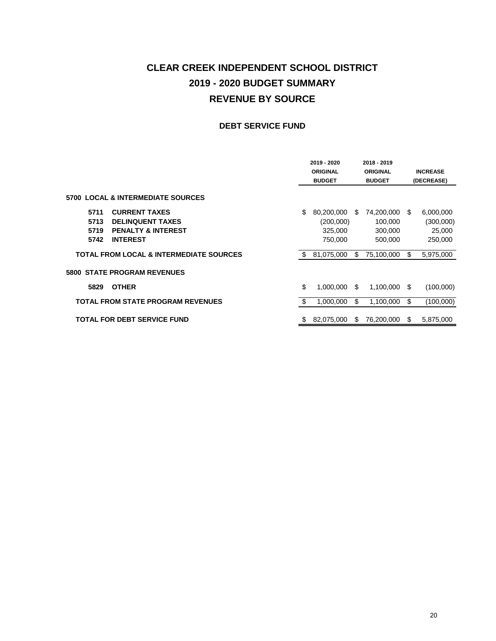### **CLEAR CREEK INDEPENDENT SCHOOL DISTRICT 2019 - 2020 BUDGET SUMMARY REVENUE BY SOURCE**

#### **DEBT SERVICE FUND**

|                                                    | 2019 - 2020<br><b>ORIGINAL</b><br><b>BUDGET</b> |      | 2018 - 2019<br><b>ORIGINAL</b><br><b>BUDGET</b> |      | <b>INCREASE</b><br>(DECREASE) |
|----------------------------------------------------|-------------------------------------------------|------|-------------------------------------------------|------|-------------------------------|
| <b>5700 LOCAL &amp; INTERMEDIATE SOURCES</b>       |                                                 |      |                                                 |      |                               |
| <b>CURRENT TAXES</b><br>5711                       | \$<br>80,200,000                                | \$.  | 74,200,000                                      | S    | 6,000,000                     |
| 5713<br><b>DELINQUENT TAXES</b>                    | (200,000)                                       |      | 100,000                                         |      | (300,000)                     |
| <b>PENALTY &amp; INTEREST</b><br>5719              | 325,000                                         |      | 300,000                                         |      | 25,000                        |
| <b>INTEREST</b><br>5742                            | 750,000                                         |      | 500,000                                         |      | 250,000                       |
| <b>TOTAL FROM LOCAL &amp; INTERMEDIATE SOURCES</b> | 81,075,000                                      | S    | 75,100,000                                      | \$   | 5,975,000                     |
| <b>5800 STATE PROGRAM REVENUES</b>                 |                                                 |      |                                                 |      |                               |
| <b>OTHER</b><br>5829                               | \$<br>1,000,000                                 | - \$ | 1,100,000                                       | - \$ | (100,000)                     |
| <b>TOTAL FROM STATE PROGRAM REVENUES</b>           | \$<br>1,000,000                                 | \$   | 1,100,000                                       | \$   | (100,000)                     |
| <b>TOTAL FOR DEBT SERVICE FUND</b>                 | \$<br>82.075.000                                | -SS  | 76,200,000                                      | S    | 5.875.000                     |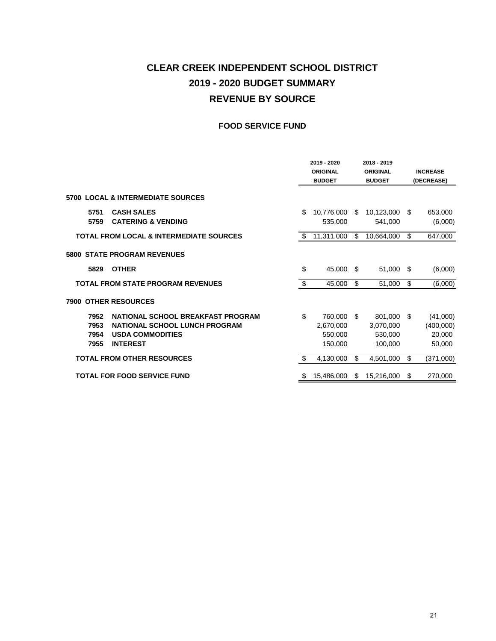#### **CLEAR CREEK INDEPENDENT SCHOOL DISTRICT 2019 - 2020 BUDGET SUMMARY REVENUE BY SOURCE**

#### **FOOD SERVICE FUND**

|                              |                                                                                                                  |    | 2019 - 2020<br><b>ORIGINAL</b><br><b>BUDGET</b> |      | 2018 - 2019<br><b>ORIGINAL</b><br><b>BUDGET</b> | <b>INCREASE</b><br>(DECREASE)                   |
|------------------------------|------------------------------------------------------------------------------------------------------------------|----|-------------------------------------------------|------|-------------------------------------------------|-------------------------------------------------|
|                              | 5700 LOCAL & INTERMEDIATE SOURCES                                                                                |    |                                                 |      |                                                 |                                                 |
| 5751<br>5759                 | <b>CASH SALES</b><br><b>CATERING &amp; VENDING</b>                                                               | S  | 10,776,000<br>535,000                           | \$   | 10,123,000 \$<br>541,000                        | 653,000<br>(6,000)                              |
|                              | <b>TOTAL FROM LOCAL &amp; INTERMEDIATE SOURCES</b>                                                               | \$ | 11,311,000                                      | \$   | 10,664,000                                      | \$<br>647,000                                   |
|                              | <b>5800 STATE PROGRAM REVENUES</b>                                                                               |    |                                                 |      |                                                 |                                                 |
| 5829                         | <b>OTHER</b>                                                                                                     | \$ | 45,000                                          | - \$ | 51,000 \$                                       | (6,000)                                         |
|                              | <b>TOTAL FROM STATE PROGRAM REVENUES</b>                                                                         | \$ | 45,000                                          | \$.  | 51,000                                          | \$<br>(6,000)                                   |
|                              | <b>7900 OTHER RESOURCES</b>                                                                                      |    |                                                 |      |                                                 |                                                 |
| 7952<br>7953<br>7954<br>7955 | NATIONAL SCHOOL BREAKFAST PROGRAM<br>NATIONAL SCHOOL LUNCH PROGRAM<br><b>USDA COMMODITIES</b><br><b>INTEREST</b> | \$ | 760,000<br>2,670,000<br>550,000<br>150.000      | - \$ | 801,000<br>3,070,000<br>530,000<br>100.000      | \$<br>(41,000)<br>(400,000)<br>20,000<br>50,000 |
|                              | <b>TOTAL FROM OTHER RESOURCES</b>                                                                                | -S | 4,130,000                                       | \$   | 4,501,000                                       | \$<br>(371,000)                                 |
|                              | <b>TOTAL FOR FOOD SERVICE FUND</b>                                                                               | S  | 15,486,000                                      | \$   | 15,216,000                                      | \$<br>270,000                                   |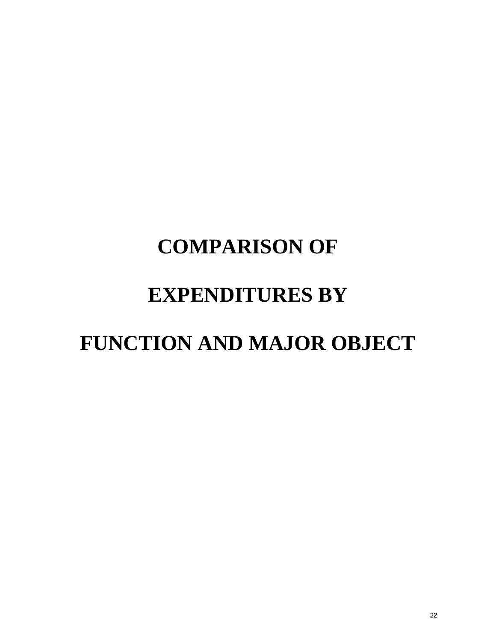# **COMPARISON OF EXPENDITURES BY FUNCTION AND MAJOR OBJECT**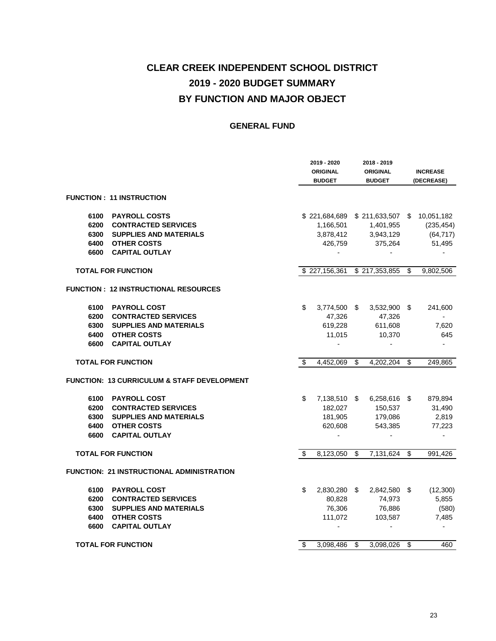|      |                                             | 2019 - 2020<br><b>ORIGINAL</b><br><b>BUDGET</b> | 2018 - 2019<br><b>ORIGINAL</b><br><b>BUDGET</b> | <b>INCREASE</b><br>(DECREASE) |
|------|---------------------------------------------|-------------------------------------------------|-------------------------------------------------|-------------------------------|
|      | FUNCTION: 11 INSTRUCTION                    |                                                 |                                                 |                               |
| 6100 | <b>PAYROLL COSTS</b>                        |                                                 | \$221,684,689 \$211,633,507 \$10,051,182        |                               |
| 6200 | <b>CONTRACTED SERVICES</b>                  | 1,166,501                                       | 1,401,955                                       | (235, 454)                    |
|      | 6300 SUPPLIES AND MATERIALS                 | 3,878,412                                       | 3,943,129                                       | (64, 717)                     |
|      | 6400 OTHER COSTS                            | 426,759                                         | 375,264                                         | 51,495                        |
|      | <b>6600 CAPITAL OUTLAY</b>                  |                                                 |                                                 |                               |
|      | <b>TOTAL FOR FUNCTION</b>                   |                                                 | \$227,156,361 \$217,353,855                     | \$<br>9,802,506               |
|      | <b>FUNCTION: 12 INSTRUCTIONAL RESOURCES</b> |                                                 |                                                 |                               |
| 6100 | <b>PAYROLL COST</b>                         | \$<br>3,774,500 \$                              | $3,532,900$ \$                                  | 241,600                       |
|      | 6200 CONTRACTED SERVICES                    | 47,326                                          | 47,326                                          | $\overline{a}$                |
|      | 6300 SUPPLIES AND MATERIALS                 | 619,228                                         | 611,608                                         | 7,620                         |
|      | 6400 OTHER COSTS                            | 11,015                                          | 10,370                                          | 645                           |
|      | 6600 CAPITAL OUTLAY                         | $\sim$                                          |                                                 |                               |
|      | <b>TOTAL FOR FUNCTION</b>                   | \$<br>4,452,069 \$                              | 4,202,204 \$                                    | 249,865                       |
|      | FUNCTION: 13 CURRICULUM & STAFF DEVELOPMENT |                                                 |                                                 |                               |
| 6100 | <b>PAYROLL COST</b>                         | \$                                              | 7,138,510 \$ 6,258,616 \$                       | 879,894                       |
|      | 6200 CONTRACTED SERVICES                    | 182,027                                         | 150,537                                         | 31,490                        |
|      | 6300 SUPPLIES AND MATERIALS                 | 181,905                                         | 179,086                                         | 2,819                         |
|      | 6400 OTHER COSTS                            | 620,608                                         | 543,385                                         | 77,223                        |
| 6600 | <b>CAPITAL OUTLAY</b>                       |                                                 |                                                 |                               |
|      | <b>TOTAL FOR FUNCTION</b>                   | \$<br>$8,1\overline{23,050}$ \$                 | 7,131,624                                       | \$<br>991,426                 |
|      | FUNCTION: 21 INSTRUCTIONAL ADMINISTRATION   |                                                 |                                                 |                               |
| 6100 | <b>PAYROLL COST</b>                         | \$                                              | 2,830,280 \$ 2,842,580 \$                       | (12,300)                      |
| 6200 | <b>CONTRACTED SERVICES</b>                  | 80.828                                          | 74.973                                          | 5,855                         |
| 6300 | <b>SUPPLIES AND MATERIALS</b>               | 76,306                                          | 76,886                                          | (580)                         |
| 6400 | <b>OTHER COSTS</b>                          | 111,072                                         | 103,587                                         | 7,485                         |
| 6600 | <b>CAPITAL OUTLAY</b>                       |                                                 |                                                 |                               |
|      | <b>TOTAL FOR FUNCTION</b>                   | \$<br>3,098,486 \$                              | 3,098,026 \$                                    | 460                           |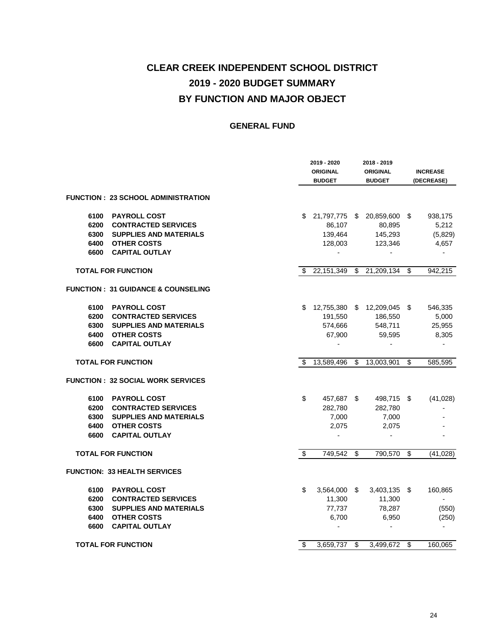|      |                                               |     | 2019 - 2020<br><b>ORIGINAL</b><br><b>BUDGET</b> | 2018 - 2019<br><b>ORIGINAL</b><br><b>BUDGET</b> |                 | <b>INCREASE</b><br>(DECREASE) |
|------|-----------------------------------------------|-----|-------------------------------------------------|-------------------------------------------------|-----------------|-------------------------------|
|      | FUNCTION:23 SCHOOL ADMINISTRATION             |     |                                                 |                                                 |                 |                               |
| 6100 | <b>PAYROLL COST</b>                           | \$. | 21,797,775 \$ 20,859,600 \$                     |                                                 |                 | 938,175                       |
| 6200 | <b>CONTRACTED SERVICES</b>                    |     | 86,107                                          | 80,895                                          |                 | 5,212                         |
| 6300 | <b>SUPPLIES AND MATERIALS</b>                 |     | 139,464                                         | 145,293                                         |                 | (5,829)                       |
| 6400 | <b>OTHER COSTS</b>                            |     | 128,003                                         | 123,346                                         |                 | 4,657                         |
| 6600 | <b>CAPITAL OUTLAY</b>                         |     | $\overline{\phantom{a}}$                        | $\overline{\phantom{a}}$                        |                 | $\overline{\phantom{a}}$      |
|      | <b>TOTAL FOR FUNCTION</b>                     | S   | 22,151,349                                      | \$<br>21,209,134                                | \$              | 942,215                       |
|      | <b>FUNCTION: 31 GUIDANCE &amp; COUNSELING</b> |     |                                                 |                                                 |                 |                               |
| 6100 | <b>PAYROLL COST</b>                           | S   |                                                 | 12,755,380 \$ 12,209,045 \$                     |                 | 546,335                       |
| 6200 | <b>CONTRACTED SERVICES</b>                    |     | 191,550                                         | 186,550                                         |                 | 5,000                         |
|      | 6300 SUPPLIES AND MATERIALS                   |     | 574,666                                         | 548,711                                         |                 | 25,955                        |
| 6400 | <b>OTHER COSTS</b>                            |     | 67,900                                          | 59,595                                          |                 | 8,305                         |
| 6600 | <b>CAPITAL OUTLAY</b>                         |     |                                                 |                                                 |                 |                               |
|      | <b>TOTAL FOR FUNCTION</b>                     | \$  | 13,589,496                                      | \$<br>13,003,901                                | \$              | 585,595                       |
|      | <b>FUNCTION: 32 SOCIAL WORK SERVICES</b>      |     |                                                 |                                                 |                 |                               |
| 6100 | <b>PAYROLL COST</b>                           | \$  | 457,687 \$                                      | 498,715 \$                                      |                 | (41, 028)                     |
| 6200 | <b>CONTRACTED SERVICES</b>                    |     | 282,780                                         | 282,780                                         |                 |                               |
| 6300 | <b>SUPPLIES AND MATERIALS</b>                 |     | 7,000                                           | 7,000                                           |                 |                               |
| 6400 | <b>OTHER COSTS</b>                            |     | 2,075                                           | 2,075                                           |                 |                               |
| 6600 | <b>CAPITAL OUTLAY</b>                         |     |                                                 |                                                 |                 |                               |
|      | <b>TOTAL FOR FUNCTION</b>                     | \$  | 749,542                                         | \$<br>790,570                                   | $\overline{\$}$ | (41, 028)                     |
|      | <b>FUNCTION: 33 HEALTH SERVICES</b>           |     |                                                 |                                                 |                 |                               |
| 6100 | <b>PAYROLL COST</b>                           | \$  | 3,564,000 \$                                    | $3,403,135$ \$                                  |                 | 160,865                       |
| 6200 | <b>CONTRACTED SERVICES</b>                    |     | 11,300                                          | 11,300                                          |                 | $\overline{\phantom{a}}$      |
| 6300 | <b>SUPPLIES AND MATERIALS</b>                 |     | 77,737                                          | 78,287                                          |                 | (550)                         |
| 6400 | <b>OTHER COSTS</b>                            |     | 6,700                                           | 6,950                                           |                 | (250)                         |
| 6600 | <b>CAPITAL OUTLAY</b>                         |     |                                                 |                                                 |                 |                               |
|      | <b>TOTAL FOR FUNCTION</b>                     | \$  | 3,659,737                                       | \$<br>3,499,672 \$                              |                 | 160,065                       |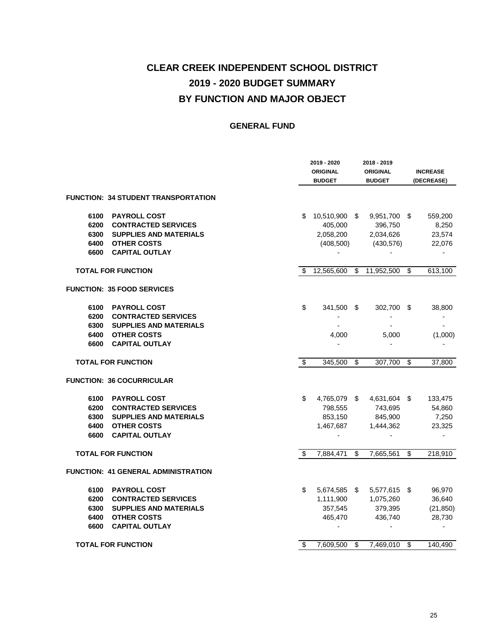|      |                                            |    | 2019 - 2020<br><b>ORIGINAL</b><br><b>BUDGET</b> | 2018 - 2019<br><b>ORIGINAL</b><br><b>BUDGET</b> | <b>INCREASE</b><br>(DECREASE) |
|------|--------------------------------------------|----|-------------------------------------------------|-------------------------------------------------|-------------------------------|
|      | <b>FUNCTION: 34 STUDENT TRANSPORTATION</b> |    |                                                 |                                                 |                               |
| 6100 | <b>PAYROLL COST</b>                        | S  | 10,510,900 \$                                   | 9,951,700 \$                                    | 559,200                       |
| 6200 | <b>CONTRACTED SERVICES</b>                 |    | 405,000                                         | 396,750                                         | 8,250                         |
| 6300 | <b>SUPPLIES AND MATERIALS</b>              |    | 2,058,200                                       | 2,034,626                                       | 23,574                        |
| 6400 | <b>OTHER COSTS</b>                         |    | (408, 500)                                      | (430, 576)                                      | 22,076                        |
| 6600 | <b>CAPITAL OUTLAY</b>                      |    | $\overline{\phantom{a}}$                        | $\overline{a}$                                  | $\overline{a}$                |
|      | <b>TOTAL FOR FUNCTION</b>                  | \$ | 12,565,600                                      | \$<br>11,952,500                                | \$<br>613,100                 |
|      | <b>FUNCTION: 35 FOOD SERVICES</b>          |    |                                                 |                                                 |                               |
| 6100 | <b>PAYROLL COST</b>                        | \$ | 341,500 \$                                      | 302,700 \$                                      | 38,800                        |
| 6200 | <b>CONTRACTED SERVICES</b>                 |    |                                                 |                                                 |                               |
| 6300 | <b>SUPPLIES AND MATERIALS</b>              |    |                                                 |                                                 |                               |
| 6400 | <b>OTHER COSTS</b>                         |    | 4,000                                           | 5,000                                           | (1,000)                       |
| 6600 | <b>CAPITAL OUTLAY</b>                      |    |                                                 |                                                 |                               |
|      | <b>TOTAL FOR FUNCTION</b>                  | \$ | 345,500                                         | \$<br>307.700                                   | \$<br>37,800                  |
|      | <b>FUNCTION: 36 COCURRICULAR</b>           |    |                                                 |                                                 |                               |
| 6100 | <b>PAYROLL COST</b>                        | \$ | 4,765,079 \$                                    | 4,631,604 \$                                    | 133,475                       |
| 6200 | <b>CONTRACTED SERVICES</b>                 |    | 798,555                                         | 743,695                                         | 54,860                        |
| 6300 | <b>SUPPLIES AND MATERIALS</b>              |    | 853,150                                         | 845,900                                         | 7,250                         |
| 6400 | <b>OTHER COSTS</b>                         |    | 1,467,687                                       | 1,444,362                                       | 23,325                        |
| 6600 | <b>CAPITAL OUTLAY</b>                      |    |                                                 |                                                 |                               |
|      | <b>TOTAL FOR FUNCTION</b>                  | \$ | 7,884,471                                       | \$<br>7,665,561                                 | \$<br>218,910                 |
|      | FUNCTION: 41 GENERAL ADMINISTRATION        |    |                                                 |                                                 |                               |
| 6100 | <b>PAYROLL COST</b>                        | \$ | 5,674,585 \$                                    | 5,577,615 \$                                    | 96,970                        |
| 6200 | <b>CONTRACTED SERVICES</b>                 |    | 1,111,900                                       | 1,075,260                                       | 36,640                        |
| 6300 | <b>SUPPLIES AND MATERIALS</b>              |    | 357,545                                         | 379,395                                         | (21, 850)                     |
| 6400 | <b>OTHER COSTS</b>                         |    | 465,470                                         | 436,740                                         | 28,730                        |
| 6600 | <b>CAPITAL OUTLAY</b>                      |    |                                                 |                                                 |                               |
|      | <b>TOTAL FOR FUNCTION</b>                  | \$ | 7,609,500                                       | \$<br>7,469,010                                 | \$<br>140.490                 |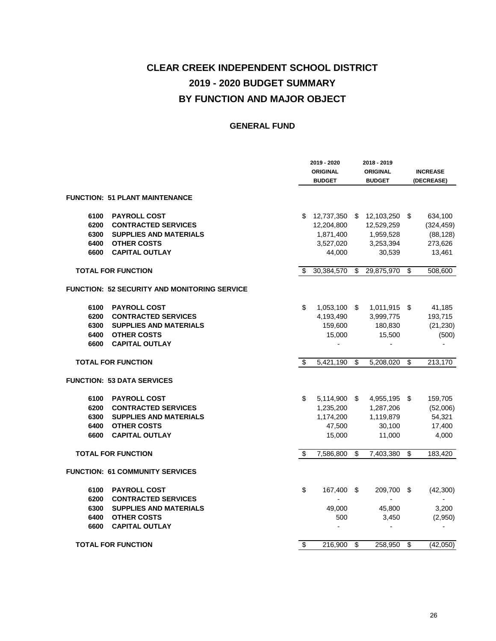|      |                                              |     | 2019 - 2020<br><b>ORIGINAL</b><br><b>BUDGET</b> |    | 2018 - 2019<br><b>ORIGINAL</b><br><b>BUDGET</b> | <b>INCREASE</b><br>(DECREASE) |
|------|----------------------------------------------|-----|-------------------------------------------------|----|-------------------------------------------------|-------------------------------|
|      | <b>FUNCTION: 51 PLANT MAINTENANCE</b>        |     |                                                 |    |                                                 |                               |
| 6100 | <b>PAYROLL COST</b>                          |     |                                                 |    | \$ 12,737,350 \$ 12,103,250 \$                  | 634,100                       |
| 6200 | <b>CONTRACTED SERVICES</b>                   |     | 12,204,800                                      |    | 12,529,259                                      | (324, 459)                    |
| 6300 | <b>SUPPLIES AND MATERIALS</b>                |     | 1,871,400                                       |    | 1,959,528                                       | (88, 128)                     |
| 6400 | <b>OTHER COSTS</b>                           |     | 3,527,020                                       |    | 3,253,394                                       | 273,626                       |
| 6600 | <b>CAPITAL OUTLAY</b>                        |     | 44,000                                          |    | 30,539                                          | 13,461                        |
|      | <b>TOTAL FOR FUNCTION</b>                    | \$. | 30,384,570                                      | S  | 29,875,970                                      | \$<br>508,600                 |
|      | FUNCTION: 52 SECURITY AND MONITORING SERVICE |     |                                                 |    |                                                 |                               |
| 6100 | <b>PAYROLL COST</b>                          | \$  | $1,053,100$ \$                                  |    | 1,011,915 \$                                    | 41,185                        |
| 6200 | <b>CONTRACTED SERVICES</b>                   |     | 4,193,490                                       |    | 3,999,775                                       | 193,715                       |
| 6300 | <b>SUPPLIES AND MATERIALS</b>                |     | 159,600                                         |    | 180,830                                         | (21, 230)                     |
| 6400 | <b>OTHER COSTS</b>                           |     | 15,000                                          |    | 15,500                                          | (500)                         |
| 6600 | <b>CAPITAL OUTLAY</b>                        |     |                                                 |    |                                                 |                               |
|      | <b>TOTAL FOR FUNCTION</b>                    | \$  | 5,421,190                                       | \$ | 5,208,020                                       | \$<br>213,170                 |
|      | <b>FUNCTION: 53 DATA SERVICES</b>            |     |                                                 |    |                                                 |                               |
| 6100 | <b>PAYROLL COST</b>                          | \$  | 5,114,900 \$                                    |    | 4,955,195 \$                                    | 159,705                       |
| 6200 | <b>CONTRACTED SERVICES</b>                   |     | 1,235,200                                       |    | 1,287,206                                       | (52,006)                      |
| 6300 | <b>SUPPLIES AND MATERIALS</b>                |     | 1,174,200                                       |    | 1,119,879                                       | 54,321                        |
| 6400 | <b>OTHER COSTS</b>                           |     | 47,500                                          |    | 30,100                                          | 17,400                        |
| 6600 | <b>CAPITAL OUTLAY</b>                        |     | 15,000                                          |    | 11,000                                          | 4,000                         |
|      | <b>TOTAL FOR FUNCTION</b>                    | \$  | 7,586,800                                       | \$ | 7,403,380                                       | \$<br>183,420                 |
|      | <b>FUNCTION: 61 COMMUNITY SERVICES</b>       |     |                                                 |    |                                                 |                               |
| 6100 | <b>PAYROLL COST</b>                          | \$  | 167,400 \$                                      |    | 209,700 \$                                      | (42,300)                      |
| 6200 | <b>CONTRACTED SERVICES</b>                   |     |                                                 |    |                                                 |                               |
| 6300 | <b>SUPPLIES AND MATERIALS</b>                |     | 49,000                                          |    | 45,800                                          | 3,200                         |
| 6400 | <b>OTHER COSTS</b>                           |     | 500                                             |    | 3,450                                           | (2,950)                       |
| 6600 | <b>CAPITAL OUTLAY</b>                        |     | $\overline{a}$                                  |    |                                                 |                               |
|      | <b>TOTAL FOR FUNCTION</b>                    | \$  | 216,900                                         | \$ | 258,950                                         | \$<br>(42,050)                |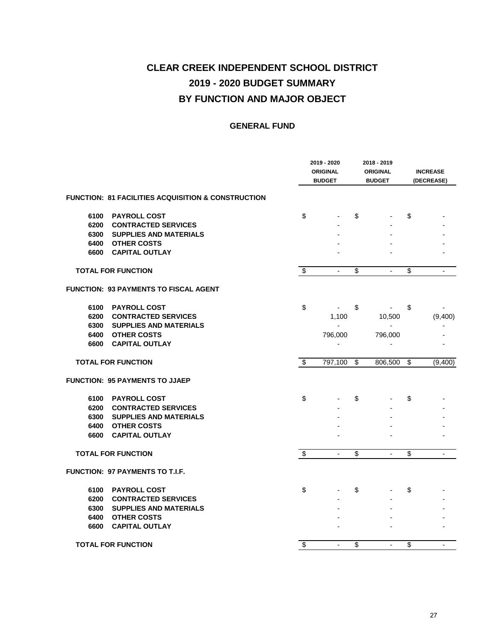|      |                                                    |                         | 2019 - 2020<br><b>ORIGINAL</b><br><b>BUDGET</b> | 2018 - 2019<br><b>ORIGINAL</b><br><b>BUDGET</b> | <b>INCREASE</b><br>(DECREASE) |
|------|----------------------------------------------------|-------------------------|-------------------------------------------------|-------------------------------------------------|-------------------------------|
|      | FUNCTION: 81 FACILITIES ACQUISITION & CONSTRUCTION |                         |                                                 |                                                 |                               |
| 6100 | <b>PAYROLL COST</b>                                | \$                      |                                                 | \$                                              | \$                            |
| 6200 | <b>CONTRACTED SERVICES</b>                         |                         |                                                 |                                                 |                               |
| 6300 | <b>SUPPLIES AND MATERIALS</b>                      |                         |                                                 |                                                 |                               |
| 6400 | <b>OTHER COSTS</b>                                 |                         |                                                 |                                                 |                               |
| 6600 | <b>CAPITAL OUTLAY</b>                              |                         |                                                 |                                                 |                               |
|      | <b>TOTAL FOR FUNCTION</b>                          | $\overline{\mathbf{e}}$ |                                                 | \$                                              | \$                            |
|      | FUNCTION: 93 PAYMENTS TO FISCAL AGENT              |                         |                                                 |                                                 |                               |
| 6100 | <b>PAYROLL COST</b>                                | \$                      |                                                 | \$                                              | \$                            |
| 6200 | <b>CONTRACTED SERVICES</b>                         |                         | 1,100                                           | 10,500                                          | (9,400)                       |
| 6300 | <b>SUPPLIES AND MATERIALS</b>                      |                         |                                                 |                                                 |                               |
| 6400 | <b>OTHER COSTS</b>                                 |                         | 796,000                                         | 796,000                                         |                               |
| 6600 | <b>CAPITAL OUTLAY</b>                              |                         | $\overline{a}$                                  |                                                 |                               |
|      | <b>TOTAL FOR FUNCTION</b>                          | $\overline{\$}$         | 797,100                                         | \$<br>806,500                                   | \$<br>(9,400)                 |
|      | FUNCTION: 95 PAYMENTS TO JJAEP                     |                         |                                                 |                                                 |                               |
| 6100 | <b>PAYROLL COST</b>                                | \$                      |                                                 | \$                                              | \$                            |
| 6200 | <b>CONTRACTED SERVICES</b>                         |                         |                                                 |                                                 |                               |
| 6300 | <b>SUPPLIES AND MATERIALS</b>                      |                         |                                                 |                                                 |                               |
| 6400 | <b>OTHER COSTS</b>                                 |                         |                                                 |                                                 |                               |
| 6600 | <b>CAPITAL OUTLAY</b>                              |                         |                                                 |                                                 |                               |
|      | <b>TOTAL FOR FUNCTION</b>                          | \$                      |                                                 | \$<br>$\overline{a}$                            | \$                            |
|      | <b>FUNCTION: 97 PAYMENTS TO T.I.F.</b>             |                         |                                                 |                                                 |                               |
| 6100 | <b>PAYROLL COST</b>                                | \$                      |                                                 | \$                                              | \$                            |
| 6200 | <b>CONTRACTED SERVICES</b>                         |                         |                                                 |                                                 |                               |
| 6300 | <b>SUPPLIES AND MATERIALS</b>                      |                         |                                                 |                                                 |                               |
| 6400 | <b>OTHER COSTS</b>                                 |                         |                                                 |                                                 |                               |
| 6600 | <b>CAPITAL OUTLAY</b>                              |                         |                                                 |                                                 |                               |
|      | <b>TOTAL FOR FUNCTION</b>                          | \$                      | $\overline{a}$                                  | \$<br>L,                                        | \$                            |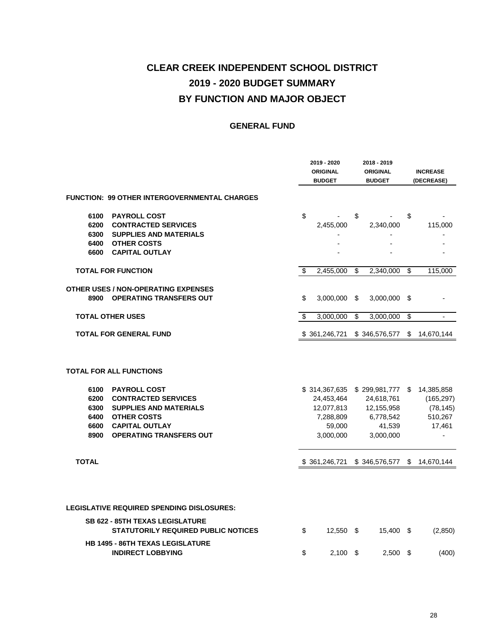|                                                                                                                                                                                                                                                       | 2019 - 2020<br><b>ORIGINAL</b><br><b>BUDGET</b>              |                 | 2018 - 2019<br><b>ORIGINAL</b><br><b>BUDGET</b>                                                |                         | <b>INCREASE</b><br>(DECREASE)                              |
|-------------------------------------------------------------------------------------------------------------------------------------------------------------------------------------------------------------------------------------------------------|--------------------------------------------------------------|-----------------|------------------------------------------------------------------------------------------------|-------------------------|------------------------------------------------------------|
| FUNCTION: 99 OTHER INTERGOVERNMENTAL CHARGES                                                                                                                                                                                                          |                                                              |                 |                                                                                                |                         |                                                            |
| 6100<br><b>PAYROLL COST</b>                                                                                                                                                                                                                           | \$                                                           | \$              |                                                                                                | \$                      |                                                            |
| 6200<br><b>CONTRACTED SERVICES</b>                                                                                                                                                                                                                    | 2,455,000                                                    |                 | 2,340,000                                                                                      |                         | 115,000                                                    |
| 6300<br><b>SUPPLIES AND MATERIALS</b>                                                                                                                                                                                                                 |                                                              |                 |                                                                                                |                         |                                                            |
| <b>OTHER COSTS</b><br>6400                                                                                                                                                                                                                            |                                                              |                 |                                                                                                |                         |                                                            |
| 6600<br><b>CAPITAL OUTLAY</b>                                                                                                                                                                                                                         |                                                              |                 |                                                                                                |                         |                                                            |
| <b>TOTAL FOR FUNCTION</b>                                                                                                                                                                                                                             | \$<br>2,455,000                                              | \$              | 2,340,000                                                                                      | $\overline{\mathbf{S}}$ | 115,000                                                    |
| <b>OTHER USES / NON-OPERATING EXPENSES</b><br><b>OPERATING TRANSFERS OUT</b><br>8900                                                                                                                                                                  | \$<br>3,000,000                                              | \$              | 3,000,000                                                                                      | \$                      |                                                            |
| <b>TOTAL OTHER USES</b>                                                                                                                                                                                                                               | \$<br>3,000,000                                              | $\overline{\$}$ | 3,000,000                                                                                      | $\overline{\$}$         | $\overline{\phantom{a}}$                                   |
| <b>TOTAL FOR GENERAL FUND</b>                                                                                                                                                                                                                         | \$361,246,721                                                |                 | \$346,576,577                                                                                  | \$                      | 14,670,144                                                 |
| <b>TOTAL FOR ALL FUNCTIONS</b><br>6100<br><b>PAYROLL COST</b><br><b>CONTRACTED SERVICES</b><br>6200<br><b>SUPPLIES AND MATERIALS</b><br>6300<br>6400<br><b>OTHER COSTS</b><br>6600<br><b>CAPITAL OUTLAY</b><br><b>OPERATING TRANSFERS OUT</b><br>8900 | 24,453,464<br>12,077,813<br>7,288,809<br>59,000<br>3,000,000 |                 | \$314,367,635 \$299,981,777 \$<br>24,618,761<br>12,155,958<br>6,778,542<br>41,539<br>3,000,000 |                         | 14,385,858<br>(165, 297)<br>(78, 145)<br>510,267<br>17,461 |
| <b>TOTAL</b>                                                                                                                                                                                                                                          | \$361,246,721                                                |                 | \$346,576,577                                                                                  | \$                      | 14,670,144                                                 |
| <b>LEGISLATIVE REQUIRED SPENDING DISLOSURES:</b><br><b>SB 622 - 85TH TEXAS LEGISLATURE</b><br><b>STATUTORILY REQUIRED PUBLIC NOTICES</b><br><b>HB 1495 - 86TH TEXAS LEGISLATURE</b>                                                                   | \$<br>12,550 \$                                              |                 | 15,400 \$                                                                                      |                         | (2,850)                                                    |
| <b>INDIRECT LOBBYING</b>                                                                                                                                                                                                                              | \$<br>2,100                                                  | - \$            | 2,500                                                                                          | - \$                    | (400)                                                      |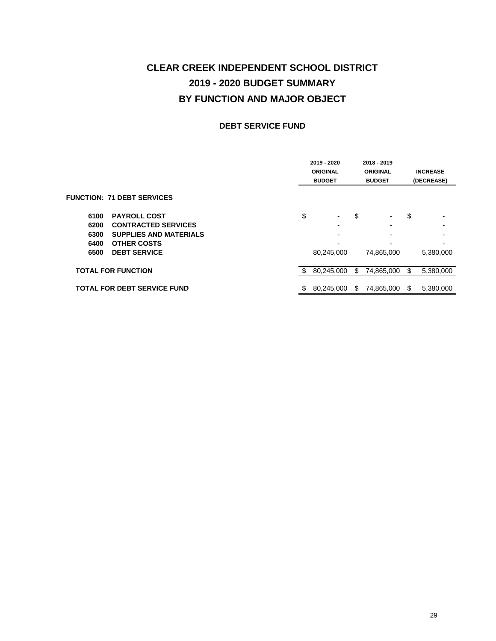#### **DEBT SERVICE FUND**

|      |                                    |     | 2019 - 2020<br><b>ORIGINAL</b><br><b>BUDGET</b> |    | 2018 - 2019<br><b>ORIGINAL</b><br><b>BUDGET</b> |     | <b>INCREASE</b><br>(DECREASE) |
|------|------------------------------------|-----|-------------------------------------------------|----|-------------------------------------------------|-----|-------------------------------|
|      | <b>FUNCTION: 71 DEBT SERVICES</b>  |     |                                                 |    |                                                 |     |                               |
| 6100 | <b>PAYROLL COST</b>                | \$  | ۰.                                              | \$ | $\blacksquare$                                  | \$  | $\overline{\phantom{0}}$      |
| 6200 | <b>CONTRACTED SERVICES</b>         |     |                                                 |    | $\overline{\phantom{0}}$                        |     | $\overline{\phantom{0}}$      |
| 6300 | <b>SUPPLIES AND MATERIALS</b>      |     | -                                               |    | $\overline{\phantom{0}}$                        |     | $\overline{\phantom{0}}$      |
| 6400 | <b>OTHER COSTS</b>                 |     |                                                 |    |                                                 |     |                               |
| 6500 | <b>DEBT SERVICE</b>                |     | 80,245,000                                      |    | 74,865,000                                      |     | 5,380,000                     |
|      | <b>TOTAL FOR FUNCTION</b>          | \$. | 80,245,000                                      | \$ | 74,865,000                                      | \$. | 5,380,000                     |
|      | <b>TOTAL FOR DEBT SERVICE FUND</b> | S   | 80.245.000                                      | S  | 74,865,000                                      | S   | 5.380.000                     |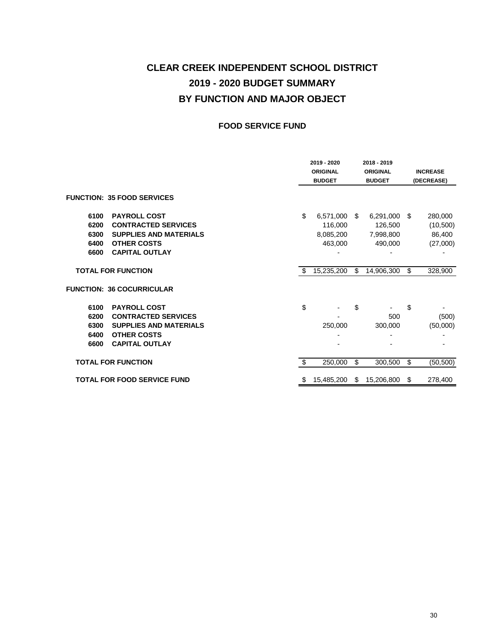#### **FOOD SERVICE FUND**

|                                                                             |    | 2019 - 2020<br><b>ORIGINAL</b><br><b>BUDGET</b> |      | 2018 - 2019<br><b>ORIGINAL</b><br><b>BUDGET</b> | <b>INCREASE</b><br>(DECREASE) |
|-----------------------------------------------------------------------------|----|-------------------------------------------------|------|-------------------------------------------------|-------------------------------|
| <b>FUNCTION: 35 FOOD SERVICES</b>                                           |    |                                                 |      |                                                 |                               |
| <b>PAYROLL COST</b><br>6100                                                 | \$ | 6,571,000                                       | -S   | 6,291,000                                       | \$<br>280,000                 |
| 6200<br><b>CONTRACTED SERVICES</b><br><b>SUPPLIES AND MATERIALS</b><br>6300 |    | 116,000<br>8,085,200                            |      | 126,500<br>7,998,800                            | (10, 500)<br>86,400           |
| <b>OTHER COSTS</b><br>6400<br><b>CAPITAL OUTLAY</b><br>6600                 |    | 463,000                                         |      | 490,000                                         | (27,000)                      |
| <b>TOTAL FOR FUNCTION</b>                                                   | S  | 15,235,200                                      | \$   | 14,906,300                                      | \$<br>328,900                 |
| <b>FUNCTION: 36 COCURRICULAR</b>                                            |    |                                                 |      |                                                 |                               |
| <b>PAYROLL COST</b><br>6100                                                 | \$ |                                                 | \$   |                                                 | \$                            |
| <b>CONTRACTED SERVICES</b><br>6200<br><b>SUPPLIES AND MATERIALS</b><br>6300 |    | 250,000                                         |      | 500<br>300,000                                  | (500)<br>(50,000)             |
| <b>OTHER COSTS</b><br>6400<br><b>CAPITAL OUTLAY</b><br>6600                 |    |                                                 |      |                                                 |                               |
| <b>TOTAL FOR FUNCTION</b>                                                   | \$ | 250,000                                         | \$   | 300,500                                         | \$<br>(50, 500)               |
| <b>TOTAL FOR FOOD SERVICE FUND</b>                                          | \$ | 15,485,200                                      | - \$ | 15,206,800                                      | \$<br>278,400                 |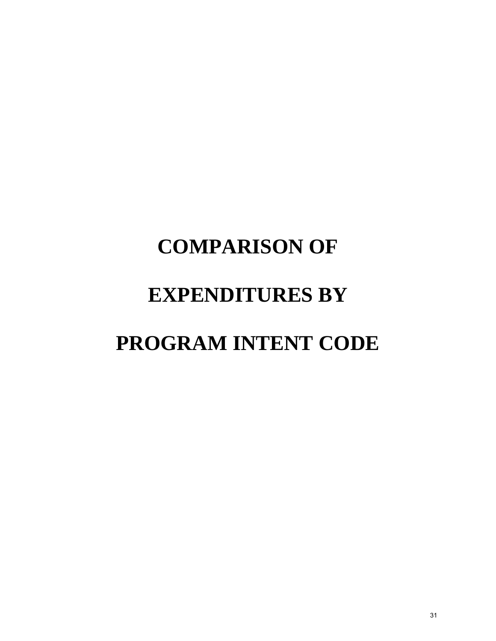# **COMPARISON OF EXPENDITURES BY PROGRAM INTENT CODE**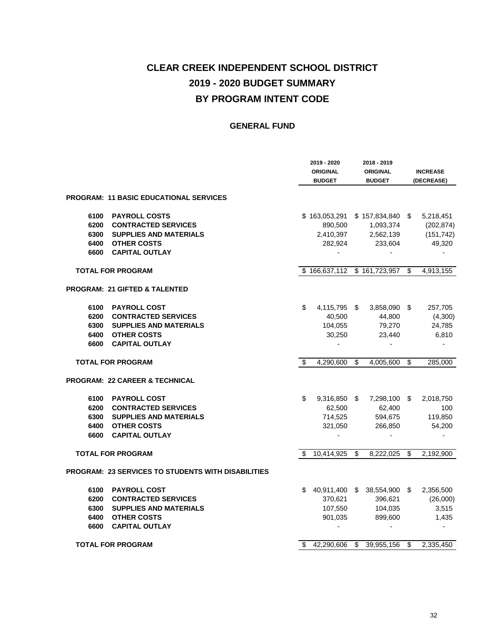|      |                                                    |    | 2019 - 2020<br><b>ORIGINAL</b><br><b>BUDGET</b> |                 | 2018 - 2019<br><b>ORIGINAL</b><br><b>BUDGET</b> | <b>INCREASE</b><br>(DECREASE) |
|------|----------------------------------------------------|----|-------------------------------------------------|-----------------|-------------------------------------------------|-------------------------------|
|      | <b>PROGRAM: 11 BASIC EDUCATIONAL SERVICES</b>      |    |                                                 |                 |                                                 |                               |
| 6100 | <b>PAYROLL COSTS</b>                               |    | \$163,053,291 \$157,834,840 \$                  |                 |                                                 | 5,218,451                     |
| 6200 | <b>CONTRACTED SERVICES</b>                         |    | 890,500                                         |                 | 1,093,374                                       | (202, 874)                    |
| 6300 | <b>SUPPLIES AND MATERIALS</b>                      |    | 2,410,397                                       |                 | 2,562,139                                       | (151, 742)                    |
|      | <b>6400 OTHER COSTS</b>                            |    | 282,924                                         |                 | 233,604                                         | 49,320                        |
| 6600 | <b>CAPITAL OUTLAY</b>                              |    | $\blacksquare$                                  |                 | $\overline{\phantom{0}}$                        | $\overline{\phantom{a}}$      |
|      | <b>TOTAL FOR PROGRAM</b>                           |    | \$166,637,112 \$161,723,957                     |                 |                                                 | \$<br>4,913,155               |
|      | PROGRAM: 21 GIFTED & TALENTED                      |    |                                                 |                 |                                                 |                               |
| 6100 | <b>PAYROLL COST</b>                                | \$ | 4,115,795 \$                                    |                 | $3,858,090$ \$                                  | 257,705                       |
| 6200 | <b>CONTRACTED SERVICES</b>                         |    | 40,500                                          |                 | 44,800                                          | (4,300)                       |
|      | <b>6300 SUPPLIES AND MATERIALS</b>                 |    | 104,055                                         |                 | 79,270                                          | 24,785                        |
|      | <b>6400 OTHER COSTS</b>                            |    | 30,250                                          |                 | 23,440                                          | 6,810                         |
|      | 6600 CAPITAL OUTLAY                                |    |                                                 |                 |                                                 |                               |
|      | <b>TOTAL FOR PROGRAM</b>                           | \$ | 4,290,600                                       | $\overline{\$}$ | 4,005,600                                       | \$<br>285,000                 |
|      | PROGRAM: 22 CAREER & TECHNICAL                     |    |                                                 |                 |                                                 |                               |
| 6100 | <b>PAYROLL COST</b>                                | \$ | 9,316,850 \$                                    |                 | 7,298,100 \$                                    | 2,018,750                     |
| 6200 | <b>CONTRACTED SERVICES</b>                         |    | 62,500                                          |                 | 62,400                                          | 100                           |
|      | 6300 SUPPLIES AND MATERIALS                        |    | 714,525                                         |                 | 594,675                                         | 119,850                       |
| 6400 | <b>OTHER COSTS</b>                                 |    | 321,050                                         |                 | 266,850                                         | 54,200                        |
| 6600 | <b>CAPITAL OUTLAY</b>                              |    |                                                 |                 |                                                 |                               |
|      | <b>TOTAL FOR PROGRAM</b>                           | \$ | 10,414,925                                      | \$              | 8,222,025 \$                                    | 2,192,900                     |
|      | PROGRAM: 23 SERVICES TO STUDENTS WITH DISABILITIES |    |                                                 |                 |                                                 |                               |
| 6100 | <b>PAYROLL COST</b>                                | S  |                                                 |                 | 40,911,400 \$ 38,554,900 \$                     | 2,356,500                     |
| 6200 | <b>CONTRACTED SERVICES</b>                         |    | 370,621                                         |                 | 396,621                                         | (26,000)                      |
| 6300 | <b>SUPPLIES AND MATERIALS</b>                      |    | 107,550                                         |                 | 104,035                                         | 3,515                         |
| 6400 | <b>OTHER COSTS</b>                                 |    | 901,035                                         |                 | 899,600                                         | 1,435                         |
| 6600 | <b>CAPITAL OUTLAY</b>                              |    |                                                 |                 |                                                 |                               |
|      | <b>TOTAL FOR PROGRAM</b>                           | \$ | 42,290,606                                      | \$              | 39,955,156 \$                                   | 2,335,450                     |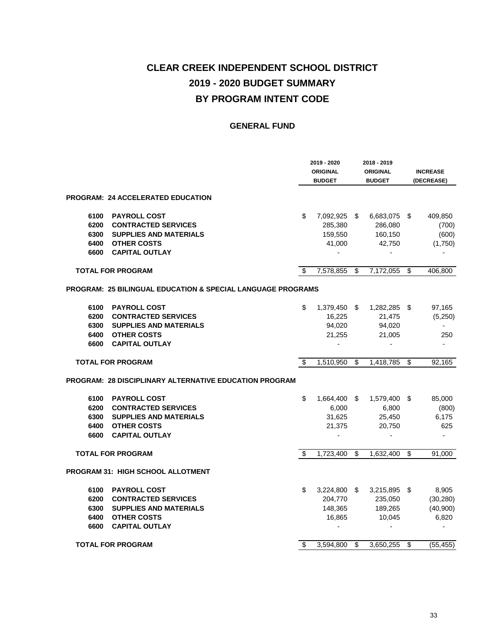|      |                                                              |    | 2019 - 2020<br><b>ORIGINAL</b><br><b>BUDGET</b> |                          | 2018 - 2019<br><b>ORIGINAL</b><br><b>BUDGET</b> |    | <b>INCREASE</b><br>(DECREASE) |  |
|------|--------------------------------------------------------------|----|-------------------------------------------------|--------------------------|-------------------------------------------------|----|-------------------------------|--|
|      | PROGRAM: 24 ACCELERATED EDUCATION                            |    |                                                 |                          |                                                 |    |                               |  |
| 6100 | <b>PAYROLL COST</b>                                          | \$ | 7,092,925 \$                                    |                          | 6,683,075 \$                                    |    | 409,850                       |  |
| 6200 | <b>CONTRACTED SERVICES</b>                                   |    | 285,380                                         |                          | 286,080                                         |    | (700)                         |  |
| 6300 | <b>SUPPLIES AND MATERIALS</b>                                |    | 159,550                                         |                          | 160,150                                         |    | (600)                         |  |
| 6400 | <b>OTHER COSTS</b>                                           |    | 41,000                                          |                          | 42,750                                          |    | (1,750)                       |  |
| 6600 | <b>CAPITAL OUTLAY</b>                                        |    |                                                 |                          |                                                 |    |                               |  |
|      | <b>TOTAL FOR PROGRAM</b>                                     | \$ | 7,578,855                                       | \$                       | 7,172,055                                       | \$ | 406,800                       |  |
|      | PROGRAM:  25 BILINGUAL EDUCATION & SPECIAL LANGUAGE PROGRAMS |    |                                                 |                          |                                                 |    |                               |  |
| 6100 | <b>PAYROLL COST</b>                                          | \$ | 1,379,450 \$                                    |                          | 1,282,285 \$                                    |    | 97,165                        |  |
| 6200 | <b>CONTRACTED SERVICES</b>                                   |    | 16,225                                          |                          | 21,475                                          |    | (5,250)                       |  |
| 6300 | <b>SUPPLIES AND MATERIALS</b>                                |    | 94,020                                          |                          | 94,020                                          |    | $\sim$                        |  |
| 6400 | <b>OTHER COSTS</b>                                           |    | 21,255                                          |                          | 21,005                                          |    | 250                           |  |
| 6600 | <b>CAPITAL OUTLAY</b>                                        |    | $\sim$                                          |                          | $\overline{\phantom{a}}$                        |    | $\blacksquare$                |  |
|      | <b>TOTAL FOR PROGRAM</b>                                     | \$ | 1,510,950                                       | \$                       | 1,418,785                                       | \$ | 92,165                        |  |
|      | PROGRAM: 28 DISCIPLINARY ALTERNATIVE EDUCATION PROGRAM       |    |                                                 |                          |                                                 |    |                               |  |
| 6100 | <b>PAYROLL COST</b>                                          | \$ | 1,664,400 \$                                    |                          | 1,579,400 \$                                    |    | 85,000                        |  |
| 6200 | <b>CONTRACTED SERVICES</b>                                   |    | 6,000                                           |                          | 6,800                                           |    | (800)                         |  |
| 6300 | <b>SUPPLIES AND MATERIALS</b>                                |    | 31,625                                          |                          | 25,450                                          |    | 6,175                         |  |
| 6400 | <b>OTHER COSTS</b>                                           |    | 21,375                                          |                          | 20,750                                          |    | 625                           |  |
| 6600 | <b>CAPITAL OUTLAY</b>                                        |    |                                                 |                          |                                                 |    | $\overline{\phantom{a}}$      |  |
|      | <b>TOTAL FOR PROGRAM</b>                                     | \$ | 1,723,400                                       | $\overline{\mathcal{S}}$ | 1,632,400                                       | \$ | 91,000                        |  |
|      | PROGRAM 31:  HIGH SCHOOL ALLOTMENT                           |    |                                                 |                          |                                                 |    |                               |  |
| 6100 | <b>PAYROLL COST</b>                                          | \$ | 3,224,800 \$                                    |                          | 3,215,895 \$                                    |    | 8,905                         |  |
| 6200 | <b>CONTRACTED SERVICES</b>                                   |    | 204,770                                         |                          | 235,050                                         |    | (30, 280)                     |  |
| 6300 | <b>SUPPLIES AND MATERIALS</b>                                |    | 148,365                                         |                          | 189,265                                         |    | (40,900)                      |  |
| 6400 | <b>OTHER COSTS</b>                                           |    | 16,865                                          |                          | 10,045                                          |    | 6,820                         |  |
| 6600 | <b>CAPITAL OUTLAY</b>                                        |    |                                                 |                          |                                                 |    | $\blacksquare$                |  |
|      | <b>TOTAL FOR PROGRAM</b>                                     | \$ | 3,594,800                                       | \$                       | 3,650,255                                       | \$ | (55, 455)                     |  |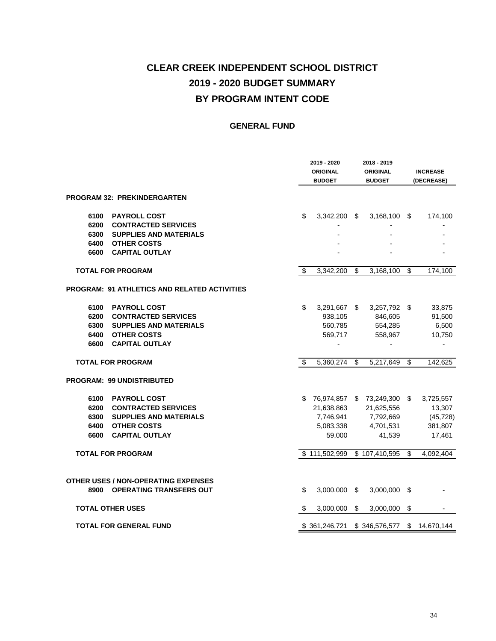|      |                                                                              |    | 2019 - 2020<br><b>ORIGINAL</b><br><b>BUDGET</b> |                | 2018 - 2019<br><b>ORIGINAL</b><br><b>BUDGET</b> |                         | <b>INCREASE</b><br>(DECREASE) |  |
|------|------------------------------------------------------------------------------|----|-------------------------------------------------|----------------|-------------------------------------------------|-------------------------|-------------------------------|--|
|      | PROGRAM 32: PREKINDERGARTEN                                                  |    |                                                 |                |                                                 |                         |                               |  |
| 6100 | <b>PAYROLL COST</b>                                                          | \$ | $3,342,200$ \$                                  |                | $3,168,100$ \$                                  |                         | 174,100                       |  |
| 6200 | <b>CONTRACTED SERVICES</b>                                                   |    |                                                 |                |                                                 |                         |                               |  |
| 6300 | <b>SUPPLIES AND MATERIALS</b>                                                |    |                                                 |                |                                                 |                         |                               |  |
| 6400 | <b>OTHER COSTS</b>                                                           |    |                                                 |                |                                                 |                         |                               |  |
| 6600 | <b>CAPITAL OUTLAY</b>                                                        |    |                                                 |                |                                                 |                         |                               |  |
|      | <b>TOTAL FOR PROGRAM</b>                                                     | \$ | 3,342,200                                       | $\mathfrak{s}$ | 3,168,100                                       | $\overline{\mathbf{S}}$ | 174,100                       |  |
|      | <b>PROGRAM: 91 ATHLETICS AND RELATED ACTIVITIES</b>                          |    |                                                 |                |                                                 |                         |                               |  |
| 6100 | <b>PAYROLL COST</b>                                                          | \$ | 3,291,667 \$                                    |                | 3,257,792 \$                                    |                         | 33,875                        |  |
| 6200 | <b>CONTRACTED SERVICES</b>                                                   |    | 938,105                                         |                | 846,605                                         |                         | 91,500                        |  |
| 6300 | <b>SUPPLIES AND MATERIALS</b>                                                |    | 560,785                                         |                | 554,285                                         |                         | 6,500                         |  |
| 6400 | <b>OTHER COSTS</b>                                                           |    | 569,717                                         |                | 558,967                                         |                         | 10,750                        |  |
| 6600 | <b>CAPITAL OUTLAY</b>                                                        |    |                                                 |                |                                                 |                         |                               |  |
|      | <b>TOTAL FOR PROGRAM</b>                                                     | \$ | 5,360,274                                       | s)             | 5,217,649                                       | $\overline{\$}$         | 142,625                       |  |
|      | <b>PROGRAM: 99 UNDISTRIBUTED</b>                                             |    |                                                 |                |                                                 |                         |                               |  |
| 6100 | <b>PAYROLL COST</b>                                                          |    |                                                 |                | \$ 76,974,857 \$ 73,249,300 \$                  |                         | 3,725,557                     |  |
| 6200 | <b>CONTRACTED SERVICES</b>                                                   |    | 21,638,863                                      |                | 21,625,556                                      |                         | 13,307                        |  |
| 6300 | <b>SUPPLIES AND MATERIALS</b>                                                |    | 7,746,941                                       |                | 7,792,669                                       |                         | (45, 728)                     |  |
| 6400 | <b>OTHER COSTS</b>                                                           |    | 5,083,338                                       |                | 4,701,531                                       |                         | 381,807                       |  |
| 6600 | <b>CAPITAL OUTLAY</b>                                                        |    | 59,000                                          |                | 41,539                                          |                         | 17,461                        |  |
|      | <b>TOTAL FOR PROGRAM</b>                                                     |    | \$111.502.999                                   |                | $\overline{3}$ 107,410,595                      | \$                      | 4,092,404                     |  |
| 8900 | <b>OTHER USES / NON-OPERATING EXPENSES</b><br><b>OPERATING TRANSFERS OUT</b> | \$ | 3,000,000                                       | \$             | 3,000,000                                       | \$                      |                               |  |
|      | <b>TOTAL OTHER USES</b>                                                      | \$ | 3,000,000                                       | \$             | 3,000,000                                       | $\overline{\mathbf{e}}$ |                               |  |
|      | <b>TOTAL FOR GENERAL FUND</b>                                                |    | \$361,246,721                                   |                | \$346,576,577                                   | $\sqrt{3}$              | 14,670,144                    |  |